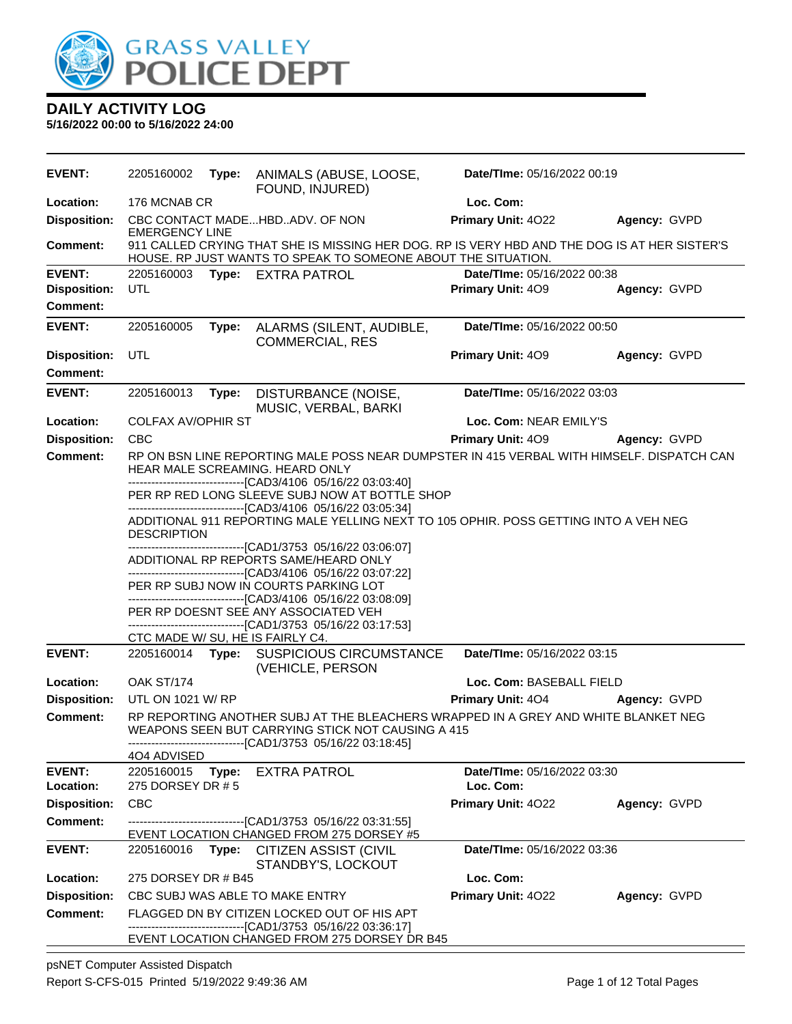

**5/16/2022 00:00 to 5/16/2022 24:00**

| <b>EVENT:</b>              | 2205160002                                                                                                                                                            | Type: | ANIMALS (ABUSE, LOOSE,<br>FOUND, INJURED)                                                                                                                     | Date/TIme: 05/16/2022 00:19              |              |  |  |
|----------------------------|-----------------------------------------------------------------------------------------------------------------------------------------------------------------------|-------|---------------------------------------------------------------------------------------------------------------------------------------------------------------|------------------------------------------|--------------|--|--|
| Location:                  | 176 MCNAB CR                                                                                                                                                          |       |                                                                                                                                                               | Loc. Com:                                |              |  |  |
| <b>Disposition:</b>        | <b>EMERGENCY LINE</b>                                                                                                                                                 |       | CBC CONTACT MADEHBDADV. OF NON                                                                                                                                | Primary Unit: 4022                       | Agency: GVPD |  |  |
| Comment:                   |                                                                                                                                                                       |       | 911 CALLED CRYING THAT SHE IS MISSING HER DOG. RP IS VERY HBD AND THE DOG IS AT HER SISTER'S<br>HOUSE. RP JUST WANTS TO SPEAK TO SOMEONE ABOUT THE SITUATION. |                                          |              |  |  |
| <b>EVENT:</b>              |                                                                                                                                                                       |       | 2205160003 Type: EXTRA PATROL                                                                                                                                 | Date/TIme: 05/16/2022 00:38              |              |  |  |
| <b>Disposition:</b>        | UTL                                                                                                                                                                   |       |                                                                                                                                                               | Primary Unit: 409                        | Agency: GVPD |  |  |
| <b>Comment:</b>            |                                                                                                                                                                       |       |                                                                                                                                                               |                                          |              |  |  |
| <b>EVENT:</b>              | 2205160005                                                                                                                                                            | Type: | ALARMS (SILENT, AUDIBLE,<br><b>COMMERCIAL, RES</b>                                                                                                            | Date/TIme: 05/16/2022 00:50              |              |  |  |
| <b>Disposition:</b>        | UTL                                                                                                                                                                   |       |                                                                                                                                                               | Primary Unit: 409                        | Agency: GVPD |  |  |
| <b>Comment:</b>            |                                                                                                                                                                       |       |                                                                                                                                                               |                                          |              |  |  |
| <b>EVENT:</b>              | 2205160013                                                                                                                                                            | Type: | DISTURBANCE (NOISE,<br>MUSIC, VERBAL, BARKI                                                                                                                   | Date/TIme: 05/16/2022 03:03              |              |  |  |
| Location:                  | <b>COLFAX AV/OPHIR ST</b>                                                                                                                                             |       |                                                                                                                                                               | Loc. Com: NEAR EMILY'S                   |              |  |  |
| <b>Disposition:</b>        | <b>CBC</b>                                                                                                                                                            |       |                                                                                                                                                               | <b>Primary Unit: 409</b>                 | Agency: GVPD |  |  |
| <b>Comment:</b>            |                                                                                                                                                                       |       | RP ON BSN LINE REPORTING MALE POSS NEAR DUMPSTER IN 415 VERBAL WITH HIMSELF. DISPATCH CAN<br>HEAR MALE SCREAMING. HEARD ONLY                                  |                                          |              |  |  |
|                            | ---------------------------------[CAD3/4106 05/16/22 03:03:40]<br>PER RP RED LONG SLEEVE SUBJ NOW AT BOTTLE SHOP<br>-------------------[CAD3/4106 05/16/22 03:05:34]  |       |                                                                                                                                                               |                                          |              |  |  |
|                            | ADDITIONAL 911 REPORTING MALE YELLING NEXT TO 105 OPHIR. POSS GETTING INTO A VEH NEG<br><b>DESCRIPTION</b>                                                            |       |                                                                                                                                                               |                                          |              |  |  |
|                            | -------------------------------[CAD1/3753 05/16/22 03:06:07]<br>ADDITIONAL RP REPORTS SAME/HEARD ONLY<br>-------------------------------[CAD3/4106 05/16/22 03:07:22] |       |                                                                                                                                                               |                                          |              |  |  |
|                            |                                                                                                                                                                       |       | PER RP SUBJ NOW IN COURTS PARKING LOT<br>---------------------------------[CAD3/4106 05/16/22 03:08:09]                                                       |                                          |              |  |  |
|                            |                                                                                                                                                                       |       | PER RP DOESNT SEE ANY ASSOCIATED VEH<br>--------------------------------[CAD1/3753 05/16/22 03:17:53]                                                         |                                          |              |  |  |
|                            |                                                                                                                                                                       |       | CTC MADE W/ SU, HE IS FAIRLY C4.                                                                                                                              |                                          |              |  |  |
| <b>EVENT:</b>              |                                                                                                                                                                       |       | 2205160014 Type: SUSPICIOUS CIRCUMSTANCE<br>(VEHICLE, PERSON                                                                                                  | Date/TIme: 05/16/2022 03:15              |              |  |  |
| Location:                  | OAK ST/174                                                                                                                                                            |       |                                                                                                                                                               | Loc. Com: BASEBALL FIELD                 |              |  |  |
| <b>Disposition:</b>        | UTL ON 1021 W/ RP                                                                                                                                                     |       |                                                                                                                                                               | Primary Unit: 404                        | Agency: GVPD |  |  |
| <b>Comment:</b>            | 404 ADVISED                                                                                                                                                           |       | RP REPORTING ANOTHER SUBJ AT THE BLEACHERS WRAPPED IN A GREY AND WHITE BLANKET NEG<br>WEAPONS SEEN BUT CARRYING STICK NOT CAUSING A 415                       |                                          |              |  |  |
| <b>EVENT:</b><br>Location: | 2205160015<br>275 DORSEY DR # 5                                                                                                                                       | Type: | <b>EXTRA PATROL</b>                                                                                                                                           | Date/TIme: 05/16/2022 03:30<br>Loc. Com: |              |  |  |
| <b>Disposition:</b>        | <b>CBC</b>                                                                                                                                                            |       |                                                                                                                                                               | Primary Unit: 4022                       | Agency: GVPD |  |  |
| <b>Comment:</b>            |                                                                                                                                                                       |       | -------------------------------[CAD1/3753 05/16/22 03:31:55]<br>EVENT LOCATION CHANGED FROM 275 DORSEY #5                                                     |                                          |              |  |  |
| <b>EVENT:</b>              | 2205160016                                                                                                                                                            | Type: | <b>CITIZEN ASSIST (CIVIL</b><br>STANDBY'S, LOCKOUT                                                                                                            | Date/TIme: 05/16/2022 03:36              |              |  |  |
| Location:                  | 275 DORSEY DR # B45                                                                                                                                                   |       |                                                                                                                                                               | Loc. Com:                                |              |  |  |
| <b>Disposition:</b>        |                                                                                                                                                                       |       | CBC SUBJ WAS ABLE TO MAKE ENTRY                                                                                                                               | Primary Unit: 4022                       | Agency: GVPD |  |  |
| Comment:                   |                                                                                                                                                                       |       | FLAGGED DN BY CITIZEN LOCKED OUT OF HIS APT<br>--------------------------[CAD1/3753_05/16/22_03:36:17]                                                        |                                          |              |  |  |
|                            |                                                                                                                                                                       |       | EVENT LOCATION CHANGED FROM 275 DORSEY DR B45                                                                                                                 |                                          |              |  |  |

psNET Computer Assisted Dispatch Report S-CFS-015 Printed 5/19/2022 9:49:36 AM Page 1 of 12 Total Pages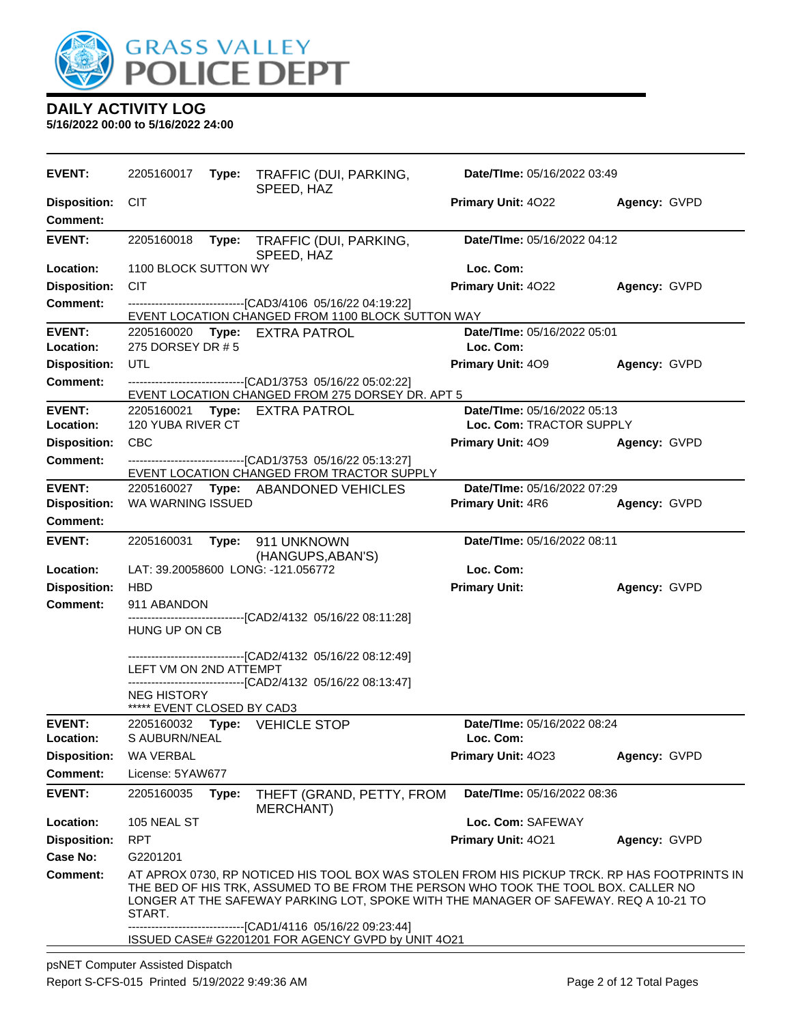

| <b>EVENT:</b>                          | 2205160017                                       |                                                                                                                                                                                                                                                                                                                             | Type: TRAFFIC (DUI, PARKING,<br>SPEED, HAZ                                                                                  | Date/TIme: 05/16/2022 03:49 |              |  |  |
|----------------------------------------|--------------------------------------------------|-----------------------------------------------------------------------------------------------------------------------------------------------------------------------------------------------------------------------------------------------------------------------------------------------------------------------------|-----------------------------------------------------------------------------------------------------------------------------|-----------------------------|--------------|--|--|
| <b>Disposition:</b><br><b>Comment:</b> | <b>CIT</b>                                       |                                                                                                                                                                                                                                                                                                                             |                                                                                                                             | <b>Primary Unit: 4022</b>   | Agency: GVPD |  |  |
| <b>EVENT:</b>                          | 2205160018                                       | Type:                                                                                                                                                                                                                                                                                                                       | TRAFFIC (DUI, PARKING,<br>SPEED, HAZ                                                                                        | Date/TIme: 05/16/2022 04:12 |              |  |  |
| Location:                              | 1100 BLOCK SUTTON WY                             |                                                                                                                                                                                                                                                                                                                             |                                                                                                                             | Loc. Com:                   |              |  |  |
| <b>Disposition:</b>                    | <b>CIT</b>                                       |                                                                                                                                                                                                                                                                                                                             |                                                                                                                             | Primary Unit: 4022          | Agency: GVPD |  |  |
| <b>Comment:</b>                        |                                                  |                                                                                                                                                                                                                                                                                                                             | -------------------------------[CAD3/4106 05/16/22 04:19:22]<br>EVENT LOCATION CHANGED FROM 1100 BLOCK SUTTON WAY           |                             |              |  |  |
| <b>EVENT:</b>                          |                                                  |                                                                                                                                                                                                                                                                                                                             | 2205160020 Type: EXTRA PATROL                                                                                               | Date/TIme: 05/16/2022 05:01 |              |  |  |
| Location:                              | 275 DORSEY DR # 5                                |                                                                                                                                                                                                                                                                                                                             |                                                                                                                             | Loc. Com:                   |              |  |  |
| <b>Disposition:</b>                    | UTL                                              |                                                                                                                                                                                                                                                                                                                             |                                                                                                                             | Primary Unit: 409           | Agency: GVPD |  |  |
| <b>Comment:</b>                        |                                                  |                                                                                                                                                                                                                                                                                                                             | --------------------------------[CAD1/3753 05/16/22 05:02:22]<br>EVENT LOCATION CHANGED FROM 275 DORSEY DR. APT 5           |                             |              |  |  |
| <b>EVENT:</b>                          |                                                  |                                                                                                                                                                                                                                                                                                                             | 2205160021 Type: EXTRA PATROL                                                                                               | Date/TIme: 05/16/2022 05:13 |              |  |  |
| Location:                              | 120 YUBA RIVER CT                                |                                                                                                                                                                                                                                                                                                                             |                                                                                                                             | Loc. Com: TRACTOR SUPPLY    |              |  |  |
| <b>Disposition:</b>                    | <b>CBC</b>                                       |                                                                                                                                                                                                                                                                                                                             |                                                                                                                             | <b>Primary Unit: 409</b>    | Agency: GVPD |  |  |
| <b>Comment:</b>                        |                                                  |                                                                                                                                                                                                                                                                                                                             | --------------------------------[CAD1/3753 05/16/22 05:13:27]<br>EVENT LOCATION CHANGED FROM TRACTOR SUPPLY                 |                             |              |  |  |
| <b>EVENT:</b>                          |                                                  |                                                                                                                                                                                                                                                                                                                             | 2205160027 Type: ABANDONED VEHICLES                                                                                         | Date/TIme: 05/16/2022 07:29 |              |  |  |
| <b>Disposition:</b>                    | WA WARNING ISSUED                                |                                                                                                                                                                                                                                                                                                                             |                                                                                                                             | <b>Primary Unit: 4R6</b>    | Agency: GVPD |  |  |
| <b>Comment:</b>                        |                                                  |                                                                                                                                                                                                                                                                                                                             |                                                                                                                             |                             |              |  |  |
| <b>EVENT:</b>                          | 2205160031                                       |                                                                                                                                                                                                                                                                                                                             | Type: 911 UNKNOWN<br>(HANGUPS, ABAN'S)                                                                                      | Date/TIme: 05/16/2022 08:11 |              |  |  |
| Location:                              |                                                  |                                                                                                                                                                                                                                                                                                                             | LAT: 39.20058600 LONG: -121.056772                                                                                          | Loc. Com:                   |              |  |  |
| <b>Disposition:</b>                    | <b>HBD</b>                                       |                                                                                                                                                                                                                                                                                                                             |                                                                                                                             | <b>Primary Unit:</b>        | Agency: GVPD |  |  |
| <b>Comment:</b>                        | 911 ABANDON                                      |                                                                                                                                                                                                                                                                                                                             |                                                                                                                             |                             |              |  |  |
|                                        | HUNG UP ON CB                                    |                                                                                                                                                                                                                                                                                                                             | ------------------------------[CAD2/4132 05/16/22 08:11:28]                                                                 |                             |              |  |  |
|                                        | LEFT VM ON 2ND ATTEMPT                           |                                                                                                                                                                                                                                                                                                                             | -------------------------------[CAD2/4132 05/16/22 08:12:49]<br>------------------------------[CAD2/4132 05/16/22 08:13:47] |                             |              |  |  |
|                                        | <b>NEG HISTORY</b><br>***** EVENT CLOSED BY CAD3 |                                                                                                                                                                                                                                                                                                                             |                                                                                                                             |                             |              |  |  |
| <b>EVENT:</b>                          |                                                  |                                                                                                                                                                                                                                                                                                                             | 2205160032 Type: VEHICLE STOP                                                                                               | Date/TIme: 05/16/2022 08:24 |              |  |  |
| Location:                              | S AUBURN/NEAL                                    |                                                                                                                                                                                                                                                                                                                             |                                                                                                                             | Loc. Com:                   |              |  |  |
| <b>Disposition:</b>                    | WA VERBAL                                        |                                                                                                                                                                                                                                                                                                                             |                                                                                                                             | Primary Unit: 4023          | Agency: GVPD |  |  |
| <b>Comment:</b>                        | License: 5YAW677                                 |                                                                                                                                                                                                                                                                                                                             |                                                                                                                             |                             |              |  |  |
| <b>EVENT:</b>                          | 2205160035                                       | Type:                                                                                                                                                                                                                                                                                                                       | THEFT (GRAND, PETTY, FROM<br>MERCHANT)                                                                                      | Date/TIme: 05/16/2022 08:36 |              |  |  |
| Location:                              | 105 NEAL ST                                      |                                                                                                                                                                                                                                                                                                                             |                                                                                                                             | Loc. Com: SAFEWAY           |              |  |  |
| <b>Disposition:</b>                    | <b>RPT</b>                                       |                                                                                                                                                                                                                                                                                                                             |                                                                                                                             | Primary Unit: 4021          | Agency: GVPD |  |  |
| Case No:                               | G2201201                                         |                                                                                                                                                                                                                                                                                                                             |                                                                                                                             |                             |              |  |  |
| Comment:                               | START.                                           | AT APROX 0730, RP NOTICED HIS TOOL BOX WAS STOLEN FROM HIS PICKUP TRCK. RP HAS FOOTPRINTS IN<br>THE BED OF HIS TRK, ASSUMED TO BE FROM THE PERSON WHO TOOK THE TOOL BOX. CALLER NO<br>LONGER AT THE SAFEWAY PARKING LOT, SPOKE WITH THE MANAGER OF SAFEWAY. REQ A 10-21 TO<br>----------------[CAD1/4116 05/16/22 09:23:44] |                                                                                                                             |                             |              |  |  |
|                                        |                                                  |                                                                                                                                                                                                                                                                                                                             | ISSUED CASE# G2201201 FOR AGENCY GVPD by UNIT 4O21                                                                          |                             |              |  |  |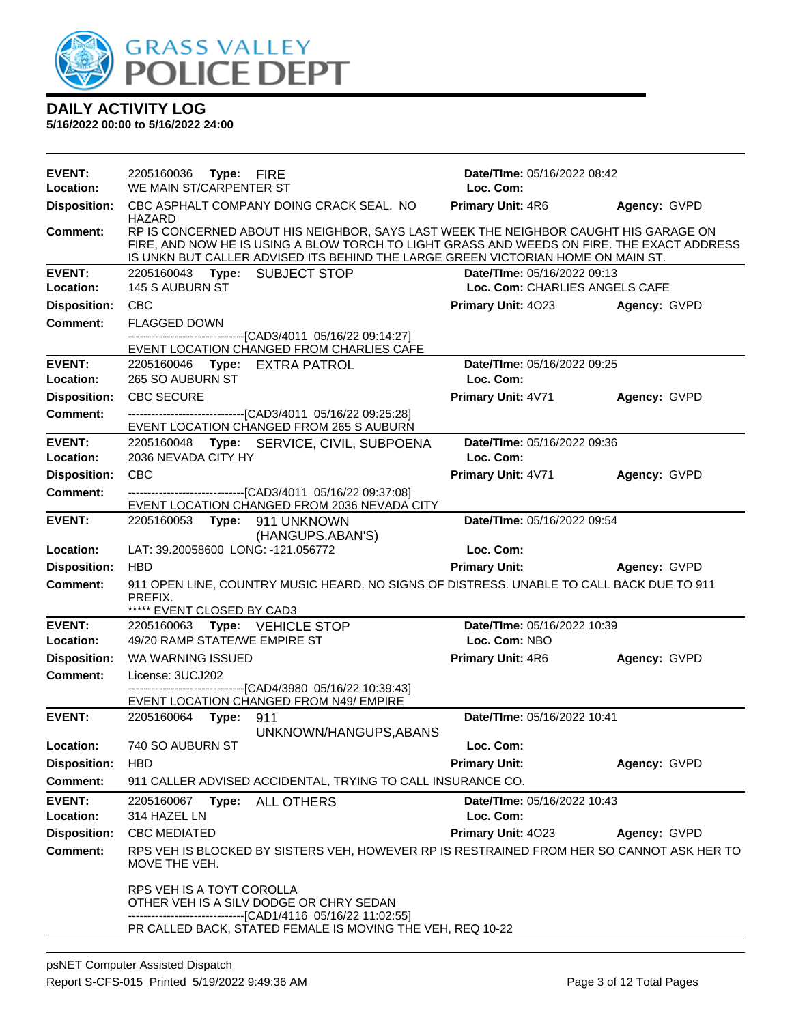

| <b>EVENT:</b><br><b>Location:</b> | 2205160036 Type: FIRE<br>WE MAIN ST/CARPENTER ST |                                                                                                                                                                                                                                                                        | <b>Date/Time: 05/16/2022 08:42</b><br>Loc. Com: |              |
|-----------------------------------|--------------------------------------------------|------------------------------------------------------------------------------------------------------------------------------------------------------------------------------------------------------------------------------------------------------------------------|-------------------------------------------------|--------------|
| <b>Disposition:</b>               |                                                  | CBC ASPHALT COMPANY DOING CRACK SEAL. NO                                                                                                                                                                                                                               | <b>Primary Unit: 4R6 Agency: GVPD</b>           |              |
| <b>Comment:</b>                   | HAZARD                                           | RP IS CONCERNED ABOUT HIS NEIGHBOR, SAYS LAST WEEK THE NEIGHBOR CAUGHT HIS GARAGE ON<br>FIRE, AND NOW HE IS USING A BLOW TORCH TO LIGHT GRASS AND WEEDS ON FIRE. THE EXACT ADDRESS<br>IS UNKN BUT CALLER ADVISED ITS BEHIND THE LARGE GREEN VICTORIAN HOME ON MAIN ST. |                                                 |              |
| <b>EVENT:</b>                     |                                                  | 2205160043 Type: SUBJECT STOP                                                                                                                                                                                                                                          | Date/TIme: 05/16/2022 09:13                     |              |
| Location:                         | <b>145 S AUBURN ST</b>                           |                                                                                                                                                                                                                                                                        | Loc. Com: CHARLIES ANGELS CAFE                  |              |
| <b>Disposition:</b>               | <b>CBC</b>                                       |                                                                                                                                                                                                                                                                        | Primary Unit: 4023 Agency: GVPD                 |              |
| <b>Comment:</b>                   | <b>FLAGGED DOWN</b>                              | --------------------------------[CAD3/4011 05/16/22 09:14:27]                                                                                                                                                                                                          |                                                 |              |
|                                   |                                                  | EVENT LOCATION CHANGED FROM CHARLIES CAFE                                                                                                                                                                                                                              |                                                 |              |
| <b>EVENT:</b>                     |                                                  | 2205160046 Type: EXTRA PATROL                                                                                                                                                                                                                                          | Date/TIme: 05/16/2022 09:25                     |              |
| Location:                         | 265 SO AUBURN ST                                 |                                                                                                                                                                                                                                                                        | Loc. Com:                                       |              |
| <b>Disposition:</b>               | <b>CBC SECURE</b>                                |                                                                                                                                                                                                                                                                        | Primary Unit: 4V71                              | Agency: GVPD |
| <b>Comment:</b>                   |                                                  | --------------------------------[CAD3/4011 05/16/22 09:25:28]<br>EVENT LOCATION CHANGED FROM 265 S AUBURN                                                                                                                                                              |                                                 |              |
| <b>EVENT:</b>                     |                                                  | 2205160048 Type: SERVICE, CIVIL, SUBPOENA                                                                                                                                                                                                                              | Date/TIme: 05/16/2022 09:36                     |              |
| Location:                         | 2036 NEVADA CITY HY                              |                                                                                                                                                                                                                                                                        | Loc. Com:                                       |              |
| <b>Disposition:</b>               | CBC                                              |                                                                                                                                                                                                                                                                        | Primary Unit: 4V71                              | Agency: GVPD |
| <b>Comment:</b>                   |                                                  | -------------------------------[CAD3/4011 05/16/22 09:37:08]<br>EVENT LOCATION CHANGED FROM 2036 NEVADA CITY                                                                                                                                                           |                                                 |              |
| <b>EVENT:</b>                     |                                                  | 2205160053 Type: 911 UNKNOWN                                                                                                                                                                                                                                           | Date/TIme: 05/16/2022 09:54                     |              |
|                                   |                                                  | (HANGUPS, ABAN'S)                                                                                                                                                                                                                                                      |                                                 |              |
| Location:                         |                                                  | LAT: 39.20058600 LONG: -121.056772                                                                                                                                                                                                                                     | Loc. Com:                                       |              |
| <b>Disposition:</b>               | <b>HBD</b>                                       |                                                                                                                                                                                                                                                                        | <b>Primary Unit:</b> Agency: GVPD               |              |
| <b>Comment:</b>                   | PREFIX.<br>***** EVENT CLOSED BY CAD3            | 911 OPEN LINE, COUNTRY MUSIC HEARD. NO SIGNS OF DISTRESS. UNABLE TO CALL BACK DUE TO 911                                                                                                                                                                               |                                                 |              |
| <b>EVENT:</b>                     |                                                  | 2205160063 Type: VEHICLE STOP                                                                                                                                                                                                                                          | Date/TIme: 05/16/2022 10:39                     |              |
| Location:                         |                                                  | 49/20 RAMP STATE/WE EMPIRE ST                                                                                                                                                                                                                                          | Loc. Com: NBO                                   |              |
| <b>Disposition:</b>               | WA WARNING ISSUED                                |                                                                                                                                                                                                                                                                        | <b>Primary Unit: 4R6</b>                        | Agency: GVPD |
| Comment:                          | License: 3UCJ202                                 |                                                                                                                                                                                                                                                                        |                                                 |              |
|                                   |                                                  | ----------------------------------[CAD4/3980 05/16/22 10:39:43]<br>EVENT LOCATION CHANGED FROM N49/ EMPIRE                                                                                                                                                             |                                                 |              |
| <b>EVENT:</b>                     | 2205160064 Type: 911                             |                                                                                                                                                                                                                                                                        | Date/TIme: 05/16/2022 10:41                     |              |
|                                   |                                                  | UNKNOWN/HANGUPS, ABANS                                                                                                                                                                                                                                                 |                                                 |              |
| Location:                         | 740 SO AUBURN ST                                 |                                                                                                                                                                                                                                                                        | Loc. Com:                                       |              |
| <b>Disposition:</b>               | <b>HBD</b>                                       |                                                                                                                                                                                                                                                                        | <b>Primary Unit:</b>                            | Agency: GVPD |
| <b>Comment:</b>                   |                                                  | 911 CALLER ADVISED ACCIDENTAL, TRYING TO CALL INSURANCE CO.                                                                                                                                                                                                            |                                                 |              |
| <b>EVENT:</b>                     |                                                  | 2205160067 Type: ALL OTHERS                                                                                                                                                                                                                                            | Date/TIme: 05/16/2022 10:43                     |              |
| Location:                         | 314 HAZEL LN                                     |                                                                                                                                                                                                                                                                        | Loc. Com:                                       |              |
| <b>Disposition:</b>               | <b>CBC MEDIATED</b>                              |                                                                                                                                                                                                                                                                        | Primary Unit: 4023                              | Agency: GVPD |
| <b>Comment:</b>                   | MOVE THE VEH.                                    | RPS VEH IS BLOCKED BY SISTERS VEH, HOWEVER RP IS RESTRAINED FROM HER SO CANNOT ASK HER TO                                                                                                                                                                              |                                                 |              |
|                                   | RPS VEH IS A TOYT COROLLA                        | OTHER VEH IS A SILV DODGE OR CHRY SEDAN<br>-------------------------------[CAD1/4116 05/16/22 11:02:55]<br>PR CALLED BACK, STATED FEMALE IS MOVING THE VEH, REQ 10-22                                                                                                  |                                                 |              |
|                                   |                                                  |                                                                                                                                                                                                                                                                        |                                                 |              |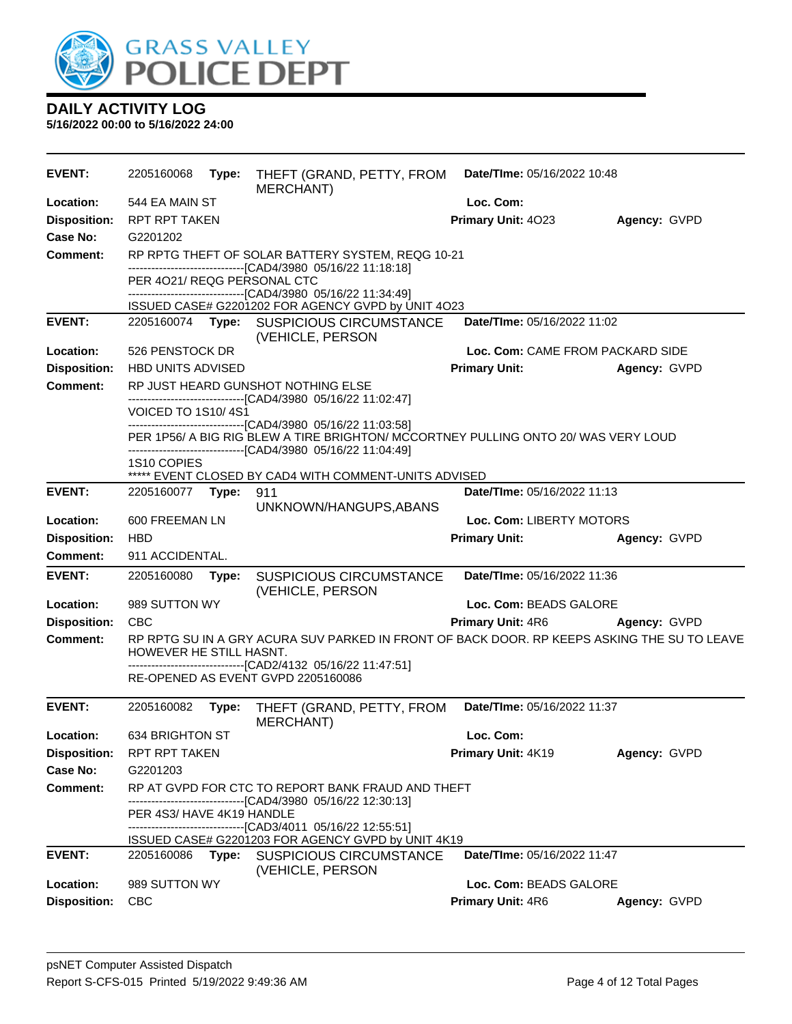

| <b>EVENT:</b>                                                                                                                                                                                                      | 2205160068                  | Type: | THEFT (GRAND, PETTY, FROM<br>MERCHANT)                                                            | Date/TIme: 05/16/2022 10:48      |              |
|--------------------------------------------------------------------------------------------------------------------------------------------------------------------------------------------------------------------|-----------------------------|-------|---------------------------------------------------------------------------------------------------|----------------------------------|--------------|
| Location:                                                                                                                                                                                                          | 544 EA MAIN ST              |       |                                                                                                   | Loc. Com:                        |              |
| <b>Disposition:</b>                                                                                                                                                                                                | RPT RPT TAKEN               |       |                                                                                                   | Primary Unit: 4023               | Agency: GVPD |
| Case No:                                                                                                                                                                                                           | G2201202                    |       |                                                                                                   |                                  |              |
| Comment:                                                                                                                                                                                                           |                             |       | RP RPTG THEFT OF SOLAR BATTERY SYSTEM, REQG 10-21                                                 |                                  |              |
|                                                                                                                                                                                                                    | PER 4021/ REQG PERSONAL CTC |       | -------------------------------[CAD4/3980 05/16/22 11:18:18]                                      |                                  |              |
|                                                                                                                                                                                                                    |                             |       | -------------------------------[CAD4/3980 05/16/22 11:34:49]                                      |                                  |              |
|                                                                                                                                                                                                                    |                             |       | ISSUED CASE# G2201202 FOR AGENCY GVPD by UNIT 4O23                                                |                                  |              |
| <b>EVENT:</b>                                                                                                                                                                                                      |                             |       | 2205160074 Type: SUSPICIOUS CIRCUMSTANCE<br>(VEHICLE, PERSON                                      | Date/TIme: 05/16/2022 11:02      |              |
| Location:                                                                                                                                                                                                          | 526 PENSTOCK DR             |       |                                                                                                   | Loc. Com: CAME FROM PACKARD SIDE |              |
| <b>Disposition:</b>                                                                                                                                                                                                | <b>HBD UNITS ADVISED</b>    |       |                                                                                                   | <b>Primary Unit:</b>             | Agency: GVPD |
| <b>Comment:</b>                                                                                                                                                                                                    |                             |       | RP JUST HEARD GUNSHOT NOTHING ELSE                                                                |                                  |              |
|                                                                                                                                                                                                                    | <b>VOICED TO 1S10/4S1</b>   |       | ------------------------------[CAD4/3980 05/16/22 11:02:47]                                       |                                  |              |
| -------------------------------[CAD4/3980 05/16/22 11:03:58]<br>PER 1P56/ A BIG RIG BLEW A TIRE BRIGHTON/ MCCORTNEY PULLING ONTO 20/ WAS VERY LOUD<br>-------------------------------[CAD4/3980_05/16/22 11:04:49] |                             |       |                                                                                                   |                                  |              |
|                                                                                                                                                                                                                    | 1S10 COPIES                 |       |                                                                                                   |                                  |              |
| <b>EVENT:</b>                                                                                                                                                                                                      |                             |       | ***** EVENT CLOSED BY CAD4 WITH COMMENT-UNITS ADVISED                                             | Date/TIme: 05/16/2022 11:13      |              |
|                                                                                                                                                                                                                    | 2205160077 Type:            |       | 911<br>UNKNOWN/HANGUPS, ABANS                                                                     |                                  |              |
| Location:                                                                                                                                                                                                          | 600 FREEMAN LN              |       |                                                                                                   | Loc. Com: LIBERTY MOTORS         |              |
| <b>Disposition:</b>                                                                                                                                                                                                | <b>HBD</b>                  |       |                                                                                                   | <b>Primary Unit:</b>             | Agency: GVPD |
| <b>Comment:</b>                                                                                                                                                                                                    | 911 ACCIDENTAL.             |       |                                                                                                   |                                  |              |
| <b>EVENT:</b>                                                                                                                                                                                                      | 2205160080                  | Type: | <b>SUSPICIOUS CIRCUMSTANCE</b><br>(VEHICLE, PERSON                                                | Date/TIme: 05/16/2022 11:36      |              |
| Location:                                                                                                                                                                                                          | 989 SUTTON WY               |       |                                                                                                   | Loc. Com: BEADS GALORE           |              |
| <b>Disposition:</b>                                                                                                                                                                                                | <b>CBC</b>                  |       |                                                                                                   | <b>Primary Unit: 4R6</b>         | Agency: GVPD |
| <b>Comment:</b>                                                                                                                                                                                                    | HOWEVER HE STILL HASNT.     |       | RP RPTG SU IN A GRY ACURA SUV PARKED IN FRONT OF BACK DOOR. RP KEEPS ASKING THE SU TO LEAVE       |                                  |              |
|                                                                                                                                                                                                                    |                             |       | ------------------------------[CAD2/4132 05/16/22 11:47:51]<br>RE-OPENED AS EVENT GVPD 2205160086 |                                  |              |
|                                                                                                                                                                                                                    |                             |       |                                                                                                   |                                  |              |
| <b>EVENT:</b>                                                                                                                                                                                                      | 2205160082                  | Type: | THEFT (GRAND, PETTY, FROM<br><b>MERCHANT)</b>                                                     | Date/TIme: 05/16/2022 11:37      |              |
| <b>Location:</b>                                                                                                                                                                                                   | 634 BRIGHTON ST             |       |                                                                                                   | Loc. Com:                        |              |
| <b>Disposition:</b>                                                                                                                                                                                                | RPT RPT TAKEN               |       |                                                                                                   | Primary Unit: 4K19               | Agency: GVPD |
| Case No:                                                                                                                                                                                                           | G2201203                    |       |                                                                                                   |                                  |              |
| <b>Comment:</b>                                                                                                                                                                                                    |                             |       | RP AT GVPD FOR CTC TO REPORT BANK FRAUD AND THEFT                                                 |                                  |              |
|                                                                                                                                                                                                                    | PER 4S3/ HAVE 4K19 HANDLE   |       | -------------------------------[CAD4/3980 05/16/22 12:30:13]                                      |                                  |              |
|                                                                                                                                                                                                                    |                             |       | -------------------------------[CAD3/4011 05/16/22 12:55:51]                                      |                                  |              |
|                                                                                                                                                                                                                    |                             |       | ISSUED CASE# G2201203 FOR AGENCY GVPD by UNIT 4K19                                                |                                  |              |
| <b>EVENT:</b>                                                                                                                                                                                                      |                             |       | 2205160086 Type: SUSPICIOUS CIRCUMSTANCE<br>(VEHICLE, PERSON                                      | Date/TIme: 05/16/2022 11:47      |              |
| Location:                                                                                                                                                                                                          | 989 SUTTON WY               |       |                                                                                                   | Loc. Com: BEADS GALORE           |              |
| <b>Disposition:</b>                                                                                                                                                                                                | <b>CBC</b>                  |       |                                                                                                   | Primary Unit: 4R6                | Agency: GVPD |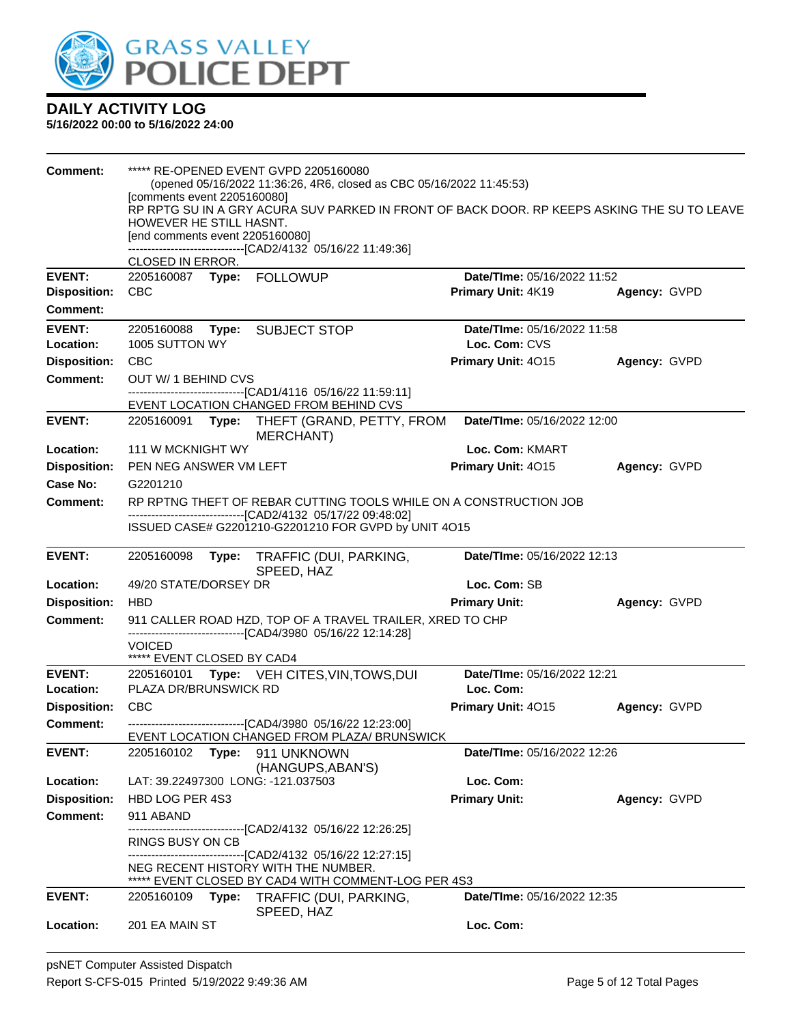

| Comment:                               | [comments event 2205160080]<br>HOWEVER HE STILL HASNT.<br>[end comments event 2205160080]<br>CLOSED IN ERROR.                       |       | ***** RE-OPENED EVENT GVPD 2205160080<br>(opened 05/16/2022 11:36:26, 4R6, closed as CBC 05/16/2022 11:45:53)<br>RP RPTG SU IN A GRY ACURA SUV PARKED IN FRONT OF BACK DOOR. RP KEEPS ASKING THE SU TO LEAVE<br>-------------------------------[CAD2/4132 05/16/22 11:49:36] |                                    |              |  |  |
|----------------------------------------|-------------------------------------------------------------------------------------------------------------------------------------|-------|------------------------------------------------------------------------------------------------------------------------------------------------------------------------------------------------------------------------------------------------------------------------------|------------------------------------|--------------|--|--|
| <b>EVENT:</b>                          |                                                                                                                                     |       |                                                                                                                                                                                                                                                                              | Date/TIme: 05/16/2022 11:52        |              |  |  |
| <b>Disposition:</b><br><b>Comment:</b> | <b>CBC</b>                                                                                                                          |       |                                                                                                                                                                                                                                                                              | Primary Unit: 4K19                 | Agency: GVPD |  |  |
| <b>EVENT:</b>                          |                                                                                                                                     |       | 2205160088 Type: SUBJECT STOP                                                                                                                                                                                                                                                | Date/TIme: 05/16/2022 11:58        |              |  |  |
| Location:                              | 1005 SUTTON WY                                                                                                                      |       |                                                                                                                                                                                                                                                                              | Loc. Com: CVS                      |              |  |  |
| <b>Disposition:</b>                    | <b>CBC</b>                                                                                                                          |       |                                                                                                                                                                                                                                                                              | Primary Unit: 4015                 | Agency: GVPD |  |  |
| <b>Comment:</b>                        | OUT W/ 1 BEHIND CVS                                                                                                                 |       | ------------------------------[CAD1/4116  05/16/22 11:59:11]                                                                                                                                                                                                                 |                                    |              |  |  |
|                                        |                                                                                                                                     |       | EVENT LOCATION CHANGED FROM BEHIND CVS                                                                                                                                                                                                                                       |                                    |              |  |  |
| <b>EVENT:</b>                          |                                                                                                                                     |       | 2205160091 Type: THEFT (GRAND, PETTY, FROM<br>MERCHANT)                                                                                                                                                                                                                      | Date/TIme: 05/16/2022 12:00        |              |  |  |
| Location:                              | 111 W MCKNIGHT WY                                                                                                                   |       |                                                                                                                                                                                                                                                                              | Loc. Com: KMART                    |              |  |  |
| <b>Disposition:</b>                    | PEN NEG ANSWER VM LEFT                                                                                                              |       |                                                                                                                                                                                                                                                                              | Primary Unit: 4015                 | Agency: GVPD |  |  |
| Case No:                               | G2201210                                                                                                                            |       |                                                                                                                                                                                                                                                                              |                                    |              |  |  |
| <b>Comment:</b>                        | RP RPTNG THEFT OF REBAR CUTTING TOOLS WHILE ON A CONSTRUCTION JOB<br>---------------------------------[CAD2/4132 05/17/22 09:48:02] |       |                                                                                                                                                                                                                                                                              |                                    |              |  |  |
|                                        |                                                                                                                                     |       | ISSUED CASE# G2201210-G2201210 FOR GVPD by UNIT 4O15                                                                                                                                                                                                                         |                                    |              |  |  |
| <b>EVENT:</b>                          | 2205160098                                                                                                                          |       | Type: TRAFFIC (DUI, PARKING,<br>SPEED, HAZ                                                                                                                                                                                                                                   | Date/TIme: 05/16/2022 12:13        |              |  |  |
| Location:                              | 49/20 STATE/DORSEY DR                                                                                                               |       |                                                                                                                                                                                                                                                                              | Loc. Com: SB                       |              |  |  |
| <b>Disposition:</b>                    | <b>HBD</b>                                                                                                                          |       |                                                                                                                                                                                                                                                                              | <b>Primary Unit:</b>               | Agency: GVPD |  |  |
| <b>Comment:</b>                        | <b>VOICED</b><br>***** EVENT CLOSED BY CAD4                                                                                         |       | 911 CALLER ROAD HZD, TOP OF A TRAVEL TRAILER, XRED TO CHP<br>--------------------------------[CAD4/3980 05/16/22 12:14:28]                                                                                                                                                   |                                    |              |  |  |
| <b>EVENT:</b>                          |                                                                                                                                     |       | 2205160101 Type: VEH CITES, VIN, TOWS, DUI                                                                                                                                                                                                                                   | Date/TIme: 05/16/2022 12:21        |              |  |  |
| Location:                              | PLAZA DR/BRUNSWICK RD                                                                                                               |       |                                                                                                                                                                                                                                                                              | Loc. Com:                          |              |  |  |
| <b>Disposition:</b>                    | <b>CBC</b>                                                                                                                          |       |                                                                                                                                                                                                                                                                              | Primary Unit: 4015                 | Agency: GVPD |  |  |
| Comment:                               |                                                                                                                                     |       | -------------------------------[CAD4/3980 05/16/22 12:23:00]<br>EVENT LOCATION CHANGED FROM PLAZA/ BRUNSWICK                                                                                                                                                                 |                                    |              |  |  |
| <b>EVENT:</b>                          | 2205160102                                                                                                                          | Type: | 911 UNKNOWN                                                                                                                                                                                                                                                                  | Date/TIme: 05/16/2022 12:26        |              |  |  |
|                                        |                                                                                                                                     |       | (HANGUPS, ABAN'S)                                                                                                                                                                                                                                                            |                                    |              |  |  |
| Location:                              |                                                                                                                                     |       | LAT: 39.22497300 LONG: -121.037503                                                                                                                                                                                                                                           | Loc. Com:                          |              |  |  |
| <b>Disposition:</b>                    | HBD LOG PER 4S3                                                                                                                     |       |                                                                                                                                                                                                                                                                              | <b>Primary Unit:</b>               | Agency: GVPD |  |  |
| <b>Comment:</b>                        | 911 ABAND                                                                                                                           |       |                                                                                                                                                                                                                                                                              |                                    |              |  |  |
|                                        | RINGS BUSY ON CB                                                                                                                    |       | -------------------------------[CAD2/4132_05/16/22_12:26:25]                                                                                                                                                                                                                 |                                    |              |  |  |
|                                        |                                                                                                                                     |       | -------------------------------[CAD2/4132_05/16/22_12:27:15]<br>NEG RECENT HISTORY WITH THE NUMBER.                                                                                                                                                                          |                                    |              |  |  |
|                                        |                                                                                                                                     |       | ***** EVENT CLOSED BY CAD4 WITH COMMENT-LOG PER 4S3                                                                                                                                                                                                                          |                                    |              |  |  |
| <b>EVENT:</b>                          | 2205160109                                                                                                                          | Type: | TRAFFIC (DUI, PARKING,<br>SPEED, HAZ                                                                                                                                                                                                                                         | <b>Date/Time: 05/16/2022 12:35</b> |              |  |  |
| Location:                              | 201 EA MAIN ST                                                                                                                      |       |                                                                                                                                                                                                                                                                              | Loc. Com:                          |              |  |  |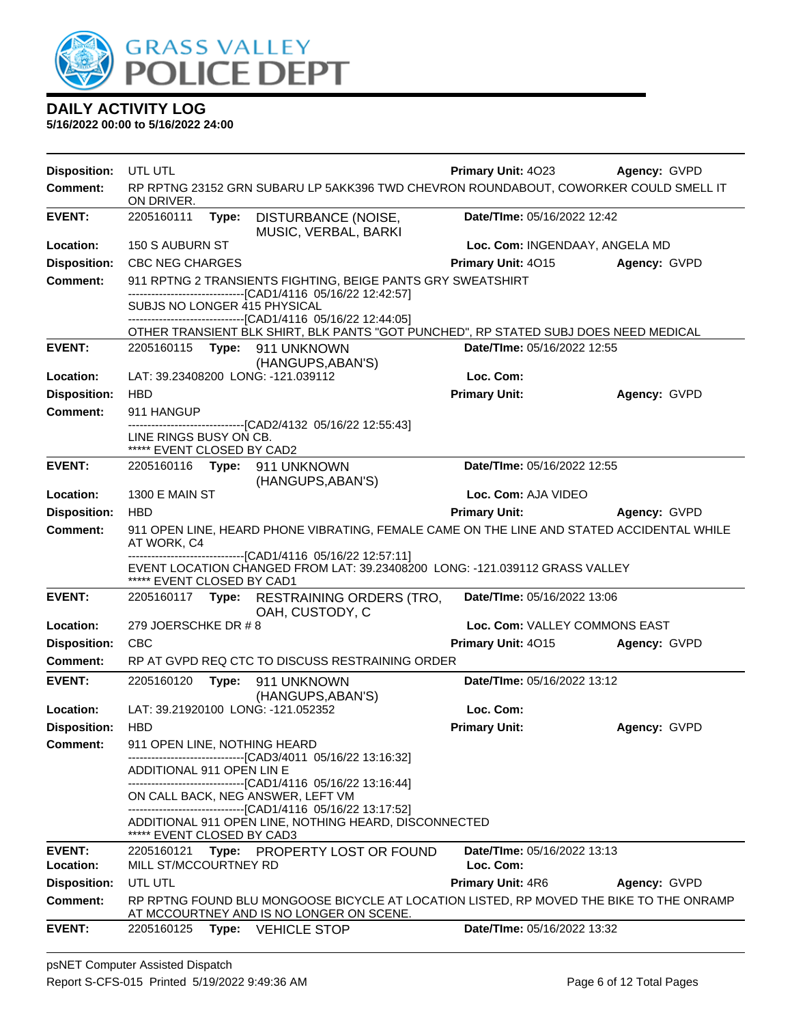

| <b>Disposition:</b> | UTL UTL                                                                                                  |                                                                                                                                                  | <b>Primary Unit: 4023</b>      | Agency: GVPD |  |
|---------------------|----------------------------------------------------------------------------------------------------------|--------------------------------------------------------------------------------------------------------------------------------------------------|--------------------------------|--------------|--|
| <b>Comment:</b>     | ON DRIVER.                                                                                               | RP RPTNG 23152 GRN SUBARU LP 5AKK396 TWD CHEVRON ROUNDABOUT, COWORKER COULD SMELL IT                                                             |                                |              |  |
| <b>EVENT:</b>       | 2205160111                                                                                               | DISTURBANCE (NOISE,<br>Type:<br>MUSIC, VERBAL, BARKI                                                                                             | Date/TIme: 05/16/2022 12:42    |              |  |
| Location:           | 150 S AUBURN ST                                                                                          |                                                                                                                                                  | Loc. Com: INGENDAAY, ANGELA MD |              |  |
| <b>Disposition:</b> | <b>CBC NEG CHARGES</b>                                                                                   |                                                                                                                                                  | Primary Unit: 4015             | Agency: GVPD |  |
| <b>Comment:</b>     |                                                                                                          | 911 RPTNG 2 TRANSIENTS FIGHTING, BEIGE PANTS GRY SWEATSHIRT                                                                                      |                                |              |  |
|                     |                                                                                                          | -------------------------------[CAD1/4116 05/16/22 12:42:57]<br>SUBJS NO LONGER 415 PHYSICAL<br>-------------------[CAD1/4116 05/16/22 12:44:05] |                                |              |  |
|                     |                                                                                                          | OTHER TRANSIENT BLK SHIRT, BLK PANTS "GOT PUNCHED", RP STATED SUBJ DOES NEED MEDICAL                                                             |                                |              |  |
| <b>EVENT:</b>       |                                                                                                          | 2205160115 Type: 911 UNKNOWN                                                                                                                     | Date/TIme: 05/16/2022 12:55    |              |  |
|                     |                                                                                                          | (HANGUPS, ABAN'S)                                                                                                                                |                                |              |  |
| Location:           |                                                                                                          | LAT: 39.23408200 LONG: -121.039112                                                                                                               | Loc. Com:                      |              |  |
| <b>Disposition:</b> | <b>HBD</b>                                                                                               |                                                                                                                                                  | <b>Primary Unit:</b>           | Agency: GVPD |  |
| <b>Comment:</b>     | 911 HANGUP                                                                                               | -----------------[CAD2/4132 05/16/22 12:55:43]                                                                                                   |                                |              |  |
|                     | LINE RINGS BUSY ON CB.<br>***** EVENT CLOSED BY CAD2                                                     |                                                                                                                                                  |                                |              |  |
| <b>EVENT:</b>       |                                                                                                          | 2205160116 Type: 911 UNKNOWN<br>(HANGUPS, ABAN'S)                                                                                                | Date/TIme: 05/16/2022 12:55    |              |  |
| Location:           | 1300 E MAIN ST                                                                                           |                                                                                                                                                  | Loc. Com: AJA VIDEO            |              |  |
| <b>Disposition:</b> | <b>HBD</b>                                                                                               |                                                                                                                                                  | <b>Primary Unit:</b>           | Agency: GVPD |  |
| <b>Comment:</b>     | 911 OPEN LINE, HEARD PHONE VIBRATING, FEMALE CAME ON THE LINE AND STATED ACCIDENTAL WHILE<br>AT WORK, C4 |                                                                                                                                                  |                                |              |  |
|                     | ***** EVENT CLOSED BY CAD1                                                                               | ----------------------[CAD1/4116 05/16/22 12:57:11]<br>EVENT LOCATION CHANGED FROM LAT: 39.23408200 LONG: -121.039112 GRASS VALLEY               |                                |              |  |
| <b>EVENT:</b>       | 2205160117 Type:                                                                                         | RESTRAINING ORDERS (TRO,<br>OAH, CUSTODY, C                                                                                                      | Date/TIme: 05/16/2022 13:06    |              |  |
| Location:           | 279 JOERSCHKE DR #8                                                                                      |                                                                                                                                                  | Loc. Com: VALLEY COMMONS EAST  |              |  |
| <b>Disposition:</b> | <b>CBC</b>                                                                                               |                                                                                                                                                  | Primary Unit: 4015             | Agency: GVPD |  |
| <b>Comment:</b>     |                                                                                                          | RP AT GVPD REQ CTC TO DISCUSS RESTRAINING ORDER                                                                                                  |                                |              |  |
| <b>EVENT:</b>       | 2205160120                                                                                               | Type:<br>911 UNKNOWN<br>(HANGUPS, ABAN'S)                                                                                                        | Date/TIme: 05/16/2022 13:12    |              |  |
| Location:           |                                                                                                          | LAT: 39.21920100 LONG: -121.052352                                                                                                               | Loc. Com:                      |              |  |
| <b>Disposition:</b> | <b>HBD</b>                                                                                               |                                                                                                                                                  | <b>Primary Unit:</b>           | Agency: GVPD |  |
| <b>Comment:</b>     | 911 OPEN LINE, NOTHING HEARD                                                                             | -------------------------[CAD3/4011_05/16/22 13:16:32]                                                                                           |                                |              |  |
|                     | ADDITIONAL 911 OPEN LIN E                                                                                | ------------------------------[CAD1/4116 05/16/22 13:16:44]                                                                                      |                                |              |  |
|                     |                                                                                                          | ON CALL BACK, NEG ANSWER, LEFT VM                                                                                                                |                                |              |  |
|                     | ***** EVENT CLOSED BY CAD3                                                                               | -------------------------------[CAD1/4116 05/16/22 13:17:52]<br>ADDITIONAL 911 OPEN LINE, NOTHING HEARD, DISCONNECTED                            |                                |              |  |
| <b>EVENT:</b>       | 2205160121                                                                                               | Type: PROPERTY LOST OR FOUND                                                                                                                     | Date/TIme: 05/16/2022 13:13    |              |  |
| Location:           | MILL ST/MCCOURTNEY RD                                                                                    |                                                                                                                                                  | Loc. Com:                      |              |  |
| <b>Disposition:</b> | UTL UTL                                                                                                  |                                                                                                                                                  | <b>Primary Unit: 4R6</b>       | Agency: GVPD |  |
| <b>Comment:</b>     |                                                                                                          | RP RPTNG FOUND BLU MONGOOSE BICYCLE AT LOCATION LISTED, RP MOVED THE BIKE TO THE ONRAMP<br>AT MCCOURTNEY AND IS NO LONGER ON SCENE.              |                                |              |  |
| <b>EVENT:</b>       | 2205160125                                                                                               | <b>VEHICLE STOP</b><br>Type:                                                                                                                     | Date/TIme: 05/16/2022 13:32    |              |  |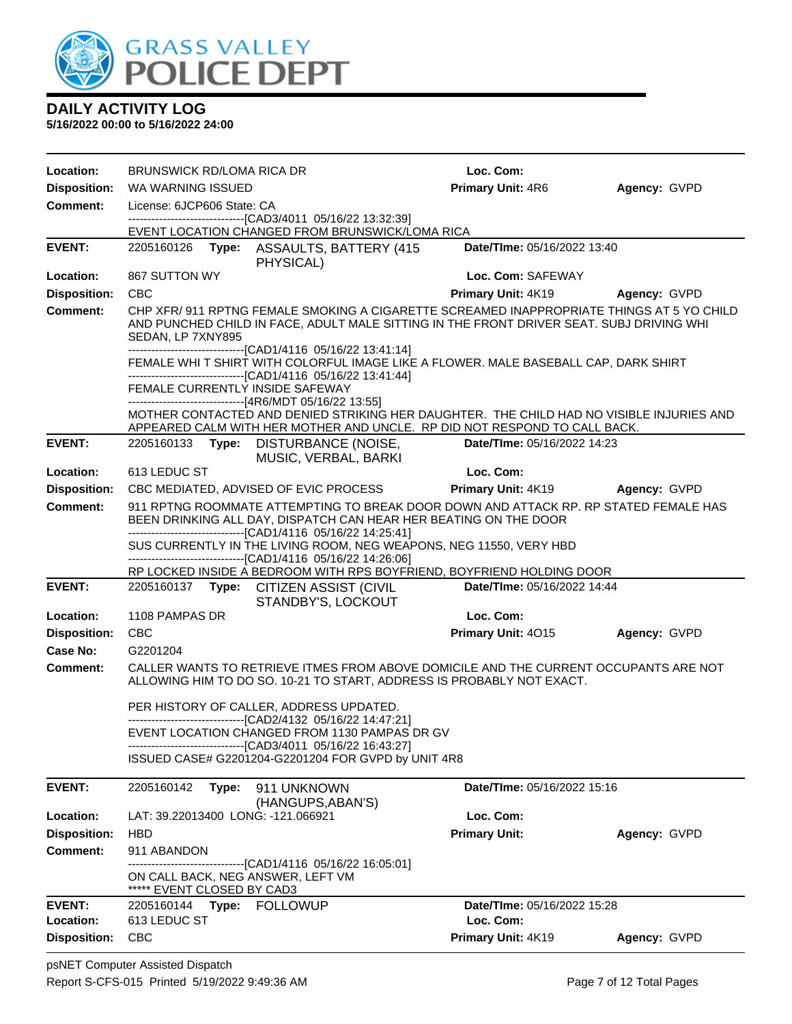

| Location:                                                                                                                                                                                                                                   | <b>BRUNSWICK RD/LOMA RICA DR</b>                                            |       |                                                                                                                                                                                                                                                                                                                 | Loc. Com:                                |              |
|---------------------------------------------------------------------------------------------------------------------------------------------------------------------------------------------------------------------------------------------|-----------------------------------------------------------------------------|-------|-----------------------------------------------------------------------------------------------------------------------------------------------------------------------------------------------------------------------------------------------------------------------------------------------------------------|------------------------------------------|--------------|
| <b>Disposition:</b>                                                                                                                                                                                                                         | WA WARNING ISSUED                                                           |       |                                                                                                                                                                                                                                                                                                                 | Primary Unit: 4R6                        | Agency: GVPD |
| <b>Comment:</b>                                                                                                                                                                                                                             | License: 6JCP606 State: CA                                                  |       |                                                                                                                                                                                                                                                                                                                 |                                          |              |
|                                                                                                                                                                                                                                             |                                                                             |       | -------------------------------[CAD3/4011 05/16/22 13:32:39]<br>EVENT LOCATION CHANGED FROM BRUNSWICK/LOMA RICA                                                                                                                                                                                                 |                                          |              |
| <b>EVENT:</b>                                                                                                                                                                                                                               |                                                                             |       | 2205160126 Type: ASSAULTS, BATTERY (415<br>PHYSICAL)                                                                                                                                                                                                                                                            | Date/TIme: 05/16/2022 13:40              |              |
| Location:                                                                                                                                                                                                                                   | 867 SUTTON WY                                                               |       |                                                                                                                                                                                                                                                                                                                 | Loc. Com: SAFEWAY                        |              |
| <b>Disposition:</b>                                                                                                                                                                                                                         | <b>CBC</b>                                                                  |       |                                                                                                                                                                                                                                                                                                                 | Primary Unit: 4K19                       | Agency: GVPD |
| <b>Comment:</b>                                                                                                                                                                                                                             | SEDAN, LP 7XNY895                                                           |       | CHP XFR/ 911 RPTNG FEMALE SMOKING A CIGARETTE SCREAMED INAPPROPRIATE THINGS AT 5 YO CHILD<br>AND PUNCHED CHILD IN FACE, ADULT MALE SITTING IN THE FRONT DRIVER SEAT. SUBJ DRIVING WHI                                                                                                                           |                                          |              |
|                                                                                                                                                                                                                                             |                                                                             |       | ------------------------------[CAD1/4116 05/16/22 13:41:14]<br>FEMALE WHI T SHIRT WITH COLORFUL IMAGE LIKE A FLOWER. MALE BASEBALL CAP, DARK SHIRT<br>-------------------------------[CAD1/4116 05/16/22 13:41:44]<br>FEMALE CURRENTLY INSIDE SAFEWAY<br>------------------------------[4R6/MDT 05/16/22 13:55] |                                          |              |
|                                                                                                                                                                                                                                             |                                                                             |       | MOTHER CONTACTED AND DENIED STRIKING HER DAUGHTER. THE CHILD HAD NO VISIBLE INJURIES AND<br>APPEARED CALM WITH HER MOTHER AND UNCLE. RP DID NOT RESPOND TO CALL BACK.                                                                                                                                           |                                          |              |
| <b>EVENT:</b>                                                                                                                                                                                                                               |                                                                             |       | 2205160133 Type: DISTURBANCE (NOISE,<br>MUSIC, VERBAL, BARKI                                                                                                                                                                                                                                                    | Date/TIme: 05/16/2022 14:23              |              |
| Location:                                                                                                                                                                                                                                   | 613 LEDUC ST                                                                |       |                                                                                                                                                                                                                                                                                                                 | Loc. Com:                                |              |
| <b>Disposition:</b>                                                                                                                                                                                                                         | Primary Unit: 4K19<br>CBC MEDIATED, ADVISED OF EVIC PROCESS<br>Agency: GVPD |       |                                                                                                                                                                                                                                                                                                                 |                                          |              |
| <b>Comment:</b><br>911 RPTNG ROOMMATE ATTEMPTING TO BREAK DOOR DOWN AND ATTACK RP. RP STATED FEMALE HAS<br>BEEN DRINKING ALL DAY, DISPATCH CAN HEAR HER BEATING ON THE DOOR<br>-------------------------------[CAD1/4116 05/16/22 14:25:41] |                                                                             |       |                                                                                                                                                                                                                                                                                                                 |                                          |              |
|                                                                                                                                                                                                                                             |                                                                             |       | SUS CURRENTLY IN THE LIVING ROOM, NEG WEAPONS, NEG 11550, VERY HBD<br>----------------------------------[CAD1/4116 05/16/22 14:26:06]<br>RP LOCKED INSIDE A BEDROOM WITH RPS BOYFRIEND, BOYFRIEND HOLDING DOOR                                                                                                  |                                          |              |
| <b>EVENT:</b>                                                                                                                                                                                                                               | 2205160137                                                                  | Type: | <b>CITIZEN ASSIST (CIVIL</b>                                                                                                                                                                                                                                                                                    | Date/TIme: 05/16/2022 14:44              |              |
|                                                                                                                                                                                                                                             |                                                                             |       | STANDBY'S, LOCKOUT                                                                                                                                                                                                                                                                                              |                                          |              |
| Location:                                                                                                                                                                                                                                   | 1108 PAMPAS DR                                                              |       |                                                                                                                                                                                                                                                                                                                 | Loc. Com:                                |              |
| <b>Disposition:</b>                                                                                                                                                                                                                         | <b>CBC</b>                                                                  |       |                                                                                                                                                                                                                                                                                                                 | Primary Unit: 4015                       | Agency: GVPD |
| Case No:<br>Comment:                                                                                                                                                                                                                        | G2201204                                                                    |       | CALLER WANTS TO RETRIEVE ITMES FROM ABOVE DOMICILE AND THE CURRENT OCCUPANTS ARE NOT                                                                                                                                                                                                                            |                                          |              |
|                                                                                                                                                                                                                                             |                                                                             |       | ALLOWING HIM TO DO SO. 10-21 TO START, ADDRESS IS PROBABLY NOT EXACT.                                                                                                                                                                                                                                           |                                          |              |
|                                                                                                                                                                                                                                             |                                                                             |       | PER HISTORY OF CALLER, ADDRESS UPDATED.                                                                                                                                                                                                                                                                         |                                          |              |
|                                                                                                                                                                                                                                             |                                                                             |       | -------------------------------[CAD2/4132 05/16/22 14:47:21]<br>EVENT LOCATION CHANGED FROM 1130 PAMPAS DR GV                                                                                                                                                                                                   |                                          |              |
|                                                                                                                                                                                                                                             |                                                                             |       | -------------------------------[CAD3/4011 05/16/22 16:43:27]                                                                                                                                                                                                                                                    |                                          |              |
|                                                                                                                                                                                                                                             |                                                                             |       | ISSUED CASE# G2201204-G2201204 FOR GVPD by UNIT 4R8                                                                                                                                                                                                                                                             |                                          |              |
| <b>EVENT:</b>                                                                                                                                                                                                                               | 2205160142                                                                  | Type: | 911 UNKNOWN<br>(HANGUPS, ABAN'S)                                                                                                                                                                                                                                                                                | <b>Date/Time: 05/16/2022 15:16</b>       |              |
| Location:                                                                                                                                                                                                                                   |                                                                             |       | LAT: 39.22013400 LONG: -121.066921                                                                                                                                                                                                                                                                              | Loc. Com:                                |              |
| <b>Disposition:</b>                                                                                                                                                                                                                         | <b>HBD</b>                                                                  |       |                                                                                                                                                                                                                                                                                                                 | <b>Primary Unit:</b>                     | Agency: GVPD |
| <b>Comment:</b>                                                                                                                                                                                                                             | 911 ABANDON                                                                 |       |                                                                                                                                                                                                                                                                                                                 |                                          |              |
|                                                                                                                                                                                                                                             | ***** EVENT CLOSED BY CAD3                                                  |       | ------------[CAD1/4116 05/16/22 16:05:01]<br>ON CALL BACK, NEG ANSWER, LEFT VM                                                                                                                                                                                                                                  |                                          |              |
| <b>EVENT:</b><br>Location:                                                                                                                                                                                                                  | 613 LEDUC ST                                                                |       | 2205160144 Type: FOLLOWUP                                                                                                                                                                                                                                                                                       | Date/TIme: 05/16/2022 15:28<br>Loc. Com: |              |
| <b>Disposition:</b>                                                                                                                                                                                                                         | <b>CBC</b>                                                                  |       |                                                                                                                                                                                                                                                                                                                 | Primary Unit: 4K19                       | Agency: GVPD |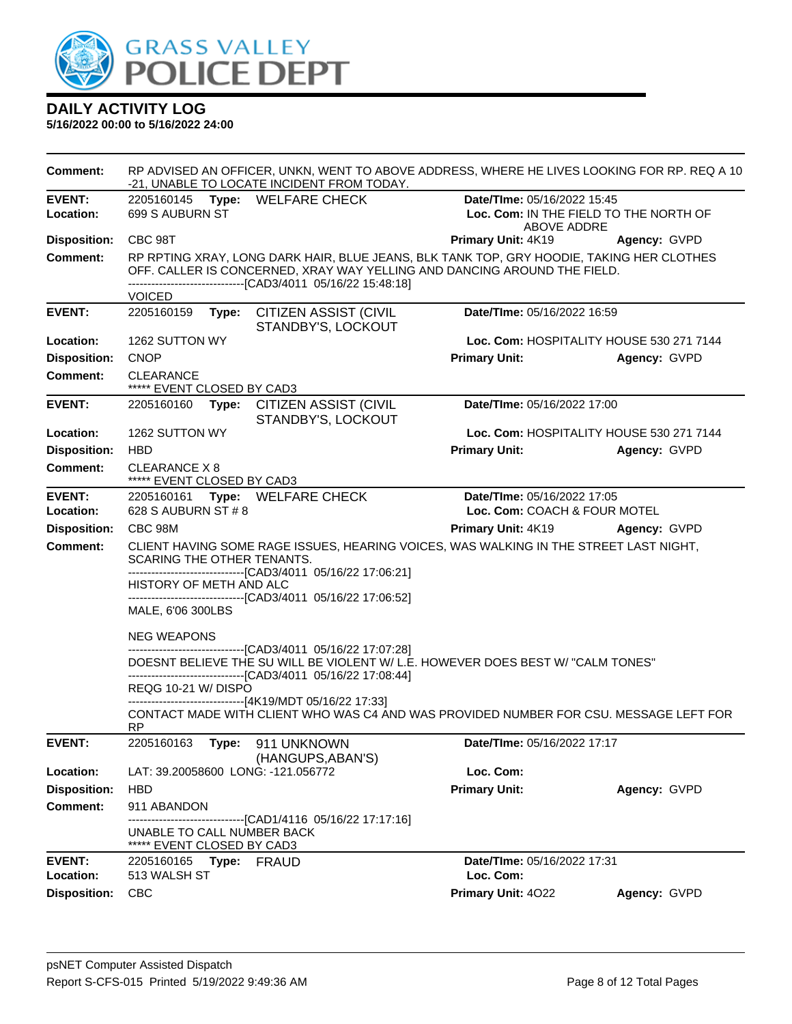

| Comment:                   |                                                                                                                                                                                     | RP ADVISED AN OFFICER, UNKN, WENT TO ABOVE ADDRESS, WHERE HE LIVES LOOKING FOR RP. REQ A 10<br>-21, UNABLE TO LOCATE INCIDENT FROM TODAY.                            |                                                                                      |              |  |
|----------------------------|-------------------------------------------------------------------------------------------------------------------------------------------------------------------------------------|----------------------------------------------------------------------------------------------------------------------------------------------------------------------|--------------------------------------------------------------------------------------|--------------|--|
| <b>EVENT:</b><br>Location: | 699 S AUBURN ST                                                                                                                                                                     | 2205160145 Type: WELFARE CHECK                                                                                                                                       | Date/TIme: 05/16/2022 15:45<br>Loc. Com: IN THE FIELD TO THE NORTH OF<br>ABOVE ADDRE |              |  |
| <b>Disposition:</b>        | CBC 98T                                                                                                                                                                             |                                                                                                                                                                      | Primary Unit: 4K19                                                                   | Agency: GVPD |  |
| <b>Comment:</b>            | -------------------------------[CAD3/4011 05/16/22 15:48:18]                                                                                                                        | RP RPTING XRAY, LONG DARK HAIR, BLUE JEANS, BLK TANK TOP, GRY HOODIE, TAKING HER CLOTHES<br>OFF. CALLER IS CONCERNED, XRAY WAY YELLING AND DANCING AROUND THE FIELD. |                                                                                      |              |  |
|                            | <b>VOICED</b>                                                                                                                                                                       |                                                                                                                                                                      |                                                                                      |              |  |
| <b>EVENT:</b>              | 2205160159<br>Type:                                                                                                                                                                 | CITIZEN ASSIST (CIVIL<br>STANDBY'S, LOCKOUT                                                                                                                          | Date/TIme: 05/16/2022 16:59                                                          |              |  |
| Location:                  | 1262 SUTTON WY                                                                                                                                                                      |                                                                                                                                                                      | Loc. Com: HOSPITALITY HOUSE 530 271 7144                                             |              |  |
| <b>Disposition:</b>        | <b>CNOP</b>                                                                                                                                                                         |                                                                                                                                                                      | <b>Primary Unit:</b>                                                                 | Agency: GVPD |  |
| <b>Comment:</b>            | CLEARANCE<br>***** EVENT CLOSED BY CAD3                                                                                                                                             |                                                                                                                                                                      |                                                                                      |              |  |
| <b>EVENT:</b>              | Date/TIme: 05/16/2022 17:00<br>2205160160<br>Type: CITIZEN ASSIST (CIVIL<br>STANDBY'S, LOCKOUT                                                                                      |                                                                                                                                                                      |                                                                                      |              |  |
| Location:                  | 1262 SUTTON WY                                                                                                                                                                      |                                                                                                                                                                      | Loc. Com: HOSPITALITY HOUSE 530 271 7144                                             |              |  |
| <b>Disposition:</b>        | <b>HBD</b>                                                                                                                                                                          |                                                                                                                                                                      | <b>Primary Unit:</b>                                                                 | Agency: GVPD |  |
| <b>Comment:</b>            | CLEARANCE X 8<br>***** EVENT CLOSED BY CAD3                                                                                                                                         |                                                                                                                                                                      |                                                                                      |              |  |
| <b>EVENT:</b>              | Date/TIme: 05/16/2022 17:05<br>2205160161 Type: WELFARE CHECK                                                                                                                       |                                                                                                                                                                      |                                                                                      |              |  |
| Location:                  | 628 S AUBURN ST # 8<br>Loc. Com: COACH & FOUR MOTEL                                                                                                                                 |                                                                                                                                                                      |                                                                                      |              |  |
| <b>Disposition:</b>        | CBC 98M                                                                                                                                                                             |                                                                                                                                                                      | Primary Unit: 4K19                                                                   | Agency: GVPD |  |
| <b>Comment:</b>            | CLIENT HAVING SOME RAGE ISSUES, HEARING VOICES, WAS WALKING IN THE STREET LAST NIGHT,<br>SCARING THE OTHER TENANTS.<br>-------------------------------[CAD3/4011 05/16/22 17:06:21] |                                                                                                                                                                      |                                                                                      |              |  |
|                            | HISTORY OF METH AND ALC                                                                                                                                                             | ---------------------------[CAD3/4011 05/16/22 17:06:52]                                                                                                             |                                                                                      |              |  |
|                            | MALE, 6'06 300LBS                                                                                                                                                                   |                                                                                                                                                                      |                                                                                      |              |  |
|                            | <b>NEG WEAPONS</b><br>---------------------------[CAD3/4011 05/16/22 17:07:28]                                                                                                      |                                                                                                                                                                      |                                                                                      |              |  |
|                            |                                                                                                                                                                                     | DOESNT BELIEVE THE SU WILL BE VIOLENT W/ L.E. HOWEVER DOES BEST W/ "CALM TONES"<br>--------------------------[CAD3/4011_05/16/22 17:08:44]                           |                                                                                      |              |  |
|                            | REQG 10-21 W/ DISPO                                                                                                                                                                 | ------------------------------[4K19/MDT 05/16/22 17:33]                                                                                                              |                                                                                      |              |  |
|                            | RP                                                                                                                                                                                  | CONTACT MADE WITH CLIENT WHO WAS C4 AND WAS PROVIDED NUMBER FOR CSU. MESSAGE LEFT FOR                                                                                |                                                                                      |              |  |
| <b>EVENT:</b>              | 2205160163<br>Type:                                                                                                                                                                 | 911 UNKNOWN<br>(HANGUPS, ABAN'S)                                                                                                                                     | Date/TIme: 05/16/2022 17:17                                                          |              |  |
| Location:                  | LAT: 39.20058600 LONG: -121.056772                                                                                                                                                  |                                                                                                                                                                      | Loc. Com:                                                                            |              |  |
| <b>Disposition:</b>        | <b>HBD</b>                                                                                                                                                                          |                                                                                                                                                                      | <b>Primary Unit:</b>                                                                 | Agency: GVPD |  |
| <b>Comment:</b>            | 911 ABANDON                                                                                                                                                                         |                                                                                                                                                                      |                                                                                      |              |  |
|                            | UNABLE TO CALL NUMBER BACK<br>***** EVENT CLOSED BY CAD3                                                                                                                            | ------------[CAD1/4116_05/16/22 17:17:16]                                                                                                                            |                                                                                      |              |  |
| <b>EVENT:</b>              | 2205160165 Type: FRAUD                                                                                                                                                              |                                                                                                                                                                      | Date/TIme: 05/16/2022 17:31                                                          |              |  |
| Location:                  | 513 WALSH ST                                                                                                                                                                        |                                                                                                                                                                      | Loc. Com:                                                                            |              |  |
| <b>Disposition:</b>        | <b>CBC</b>                                                                                                                                                                          |                                                                                                                                                                      | Primary Unit: 4022                                                                   | Agency: GVPD |  |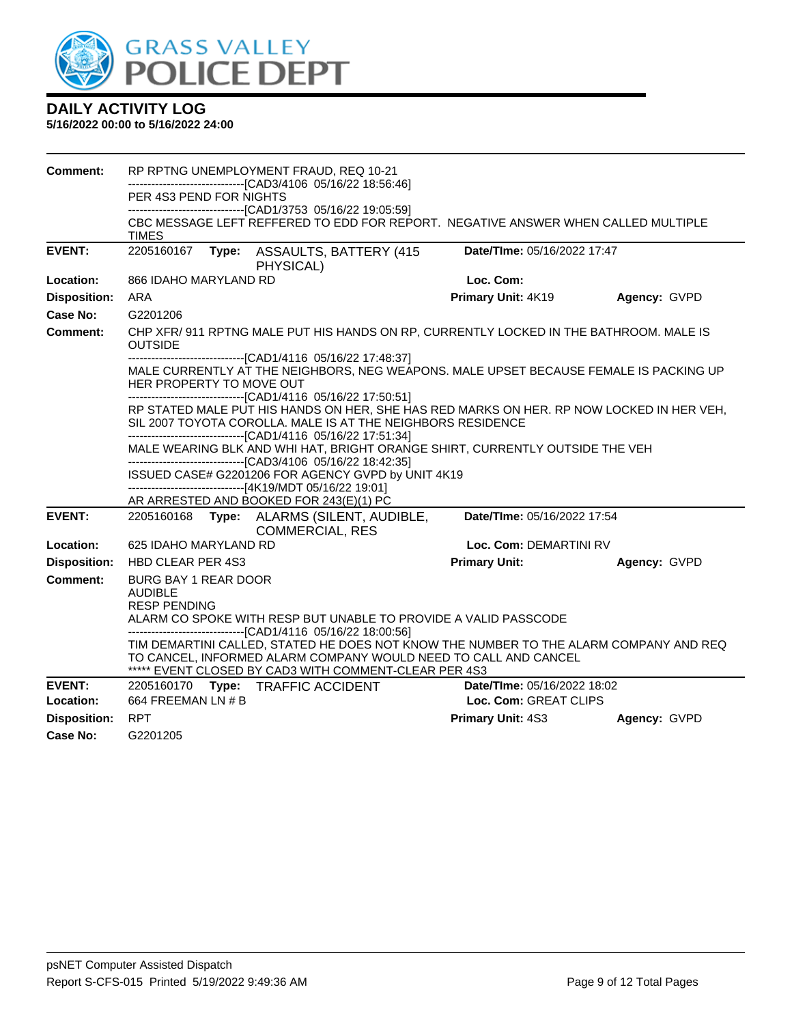

| Comment:            |                                                                                                                                                                                                                                                                                                                                                                                                                                                           |  | RP RPTNG UNEMPLOYMENT FRAUD, REQ 10-21                                                                                                                                                                            |                             |              |  |
|---------------------|-----------------------------------------------------------------------------------------------------------------------------------------------------------------------------------------------------------------------------------------------------------------------------------------------------------------------------------------------------------------------------------------------------------------------------------------------------------|--|-------------------------------------------------------------------------------------------------------------------------------------------------------------------------------------------------------------------|-----------------------------|--------------|--|
|                     | PER 4S3 PEND FOR NIGHTS                                                                                                                                                                                                                                                                                                                                                                                                                                   |  | -------------------------------[CAD3/4106 05/16/22 18:56:46]                                                                                                                                                      |                             |              |  |
|                     |                                                                                                                                                                                                                                                                                                                                                                                                                                                           |  | --------------------------------[CAD1/3753 05/16/22 19:05:59]                                                                                                                                                     |                             |              |  |
|                     | TIMES                                                                                                                                                                                                                                                                                                                                                                                                                                                     |  | CBC MESSAGE LEFT REFFERED TO EDD FOR REPORT. NEGATIVE ANSWER WHEN CALLED MULTIPLE                                                                                                                                 |                             |              |  |
| <b>EVENT:</b>       | 2205160167                                                                                                                                                                                                                                                                                                                                                                                                                                                |  | Type: ASSAULTS, BATTERY (415<br>PHYSICAL)                                                                                                                                                                         | Date/TIme: 05/16/2022 17:47 |              |  |
| Location:           | 866 IDAHO MARYLAND RD                                                                                                                                                                                                                                                                                                                                                                                                                                     |  |                                                                                                                                                                                                                   | Loc. Com:                   |              |  |
| <b>Disposition:</b> | ARA                                                                                                                                                                                                                                                                                                                                                                                                                                                       |  |                                                                                                                                                                                                                   | Primary Unit: 4K19          | Agency: GVPD |  |
| Case No:            | G2201206                                                                                                                                                                                                                                                                                                                                                                                                                                                  |  |                                                                                                                                                                                                                   |                             |              |  |
| Comment:            | CHP XFR/ 911 RPTNG MALE PUT HIS HANDS ON RP, CURRENTLY LOCKED IN THE BATHROOM. MALE IS<br><b>OUTSIDE</b><br>-------------------------------[CAD1/4116 05/16/22 17:48:37]<br>MALE CURRENTLY AT THE NEIGHBORS, NEG WEAPONS. MALE UPSET BECAUSE FEMALE IS PACKING UP<br>HER PROPERTY TO MOVE OUT<br>-------------------------------[CAD1/4116 05/16/22 17:50:51]<br>RP STATED MALE PUT HIS HANDS ON HER, SHE HAS RED MARKS ON HER. RP NOW LOCKED IN HER VEH, |  |                                                                                                                                                                                                                   |                             |              |  |
|                     |                                                                                                                                                                                                                                                                                                                                                                                                                                                           |  |                                                                                                                                                                                                                   |                             |              |  |
|                     |                                                                                                                                                                                                                                                                                                                                                                                                                                                           |  |                                                                                                                                                                                                                   |                             |              |  |
|                     | SIL 2007 TOYOTA COROLLA. MALE IS AT THE NEIGHBORS RESIDENCE                                                                                                                                                                                                                                                                                                                                                                                               |  |                                                                                                                                                                                                                   |                             |              |  |
|                     |                                                                                                                                                                                                                                                                                                                                                                                                                                                           |  | -------------------------------[CAD1/4116 05/16/22 17:51:34]                                                                                                                                                      |                             |              |  |
|                     | MALE WEARING BLK AND WHI HAT, BRIGHT ORANGE SHIRT, CURRENTLY OUTSIDE THE VEH<br>-------------------------------[CAD3/4106 05/16/22 18:42:35]                                                                                                                                                                                                                                                                                                              |  |                                                                                                                                                                                                                   |                             |              |  |
|                     |                                                                                                                                                                                                                                                                                                                                                                                                                                                           |  | ISSUED CASE# G2201206 FOR AGENCY GVPD by UNIT 4K19                                                                                                                                                                |                             |              |  |
|                     |                                                                                                                                                                                                                                                                                                                                                                                                                                                           |  | ------------------------------[4K19/MDT 05/16/22 19:01]<br>AR ARRESTED AND BOOKED FOR 243(E)(1) PC                                                                                                                |                             |              |  |
| <b>EVENT:</b>       |                                                                                                                                                                                                                                                                                                                                                                                                                                                           |  | 2205160168 Type: ALARMS (SILENT, AUDIBLE,<br><b>COMMERCIAL, RES</b>                                                                                                                                               | Date/TIme: 05/16/2022 17:54 |              |  |
| Location:           | 625 IDAHO MARYLAND RD                                                                                                                                                                                                                                                                                                                                                                                                                                     |  |                                                                                                                                                                                                                   | Loc. Com: DEMARTINI RV      |              |  |
| <b>Disposition:</b> | HBD CLEAR PER 4S3                                                                                                                                                                                                                                                                                                                                                                                                                                         |  |                                                                                                                                                                                                                   | <b>Primary Unit:</b>        | Agency: GVPD |  |
| Comment:            | <b>BURG BAY 1 REAR DOOR</b><br><b>AUDIBLE</b><br><b>RESP PENDING</b>                                                                                                                                                                                                                                                                                                                                                                                      |  |                                                                                                                                                                                                                   |                             |              |  |
|                     |                                                                                                                                                                                                                                                                                                                                                                                                                                                           |  | ALARM CO SPOKE WITH RESP BUT UNABLE TO PROVIDE A VALID PASSCODE<br>-------------------------------[CAD1/4116 05/16/22 18:00:56]                                                                                   |                             |              |  |
|                     |                                                                                                                                                                                                                                                                                                                                                                                                                                                           |  | TIM DEMARTINI CALLED, STATED HE DOES NOT KNOW THE NUMBER TO THE ALARM COMPANY AND REQ<br>TO CANCEL, INFORMED ALARM COMPANY WOULD NEED TO CALL AND CANCEL<br>***** EVENT CLOSED BY CAD3 WITH COMMENT-CLEAR PER 4S3 |                             |              |  |
| <b>EVENT:</b>       |                                                                                                                                                                                                                                                                                                                                                                                                                                                           |  | 2205160170 Type: TRAFFIC ACCIDENT                                                                                                                                                                                 | Date/TIme: 05/16/2022 18:02 |              |  |
| Location:           | 664 FREEMAN LN # B                                                                                                                                                                                                                                                                                                                                                                                                                                        |  |                                                                                                                                                                                                                   | Loc. Com: GREAT CLIPS       |              |  |
| <b>Disposition:</b> | <b>RPT</b>                                                                                                                                                                                                                                                                                                                                                                                                                                                |  |                                                                                                                                                                                                                   | <b>Primary Unit: 4S3</b>    | Agency: GVPD |  |
| Case No:            | G2201205                                                                                                                                                                                                                                                                                                                                                                                                                                                  |  |                                                                                                                                                                                                                   |                             |              |  |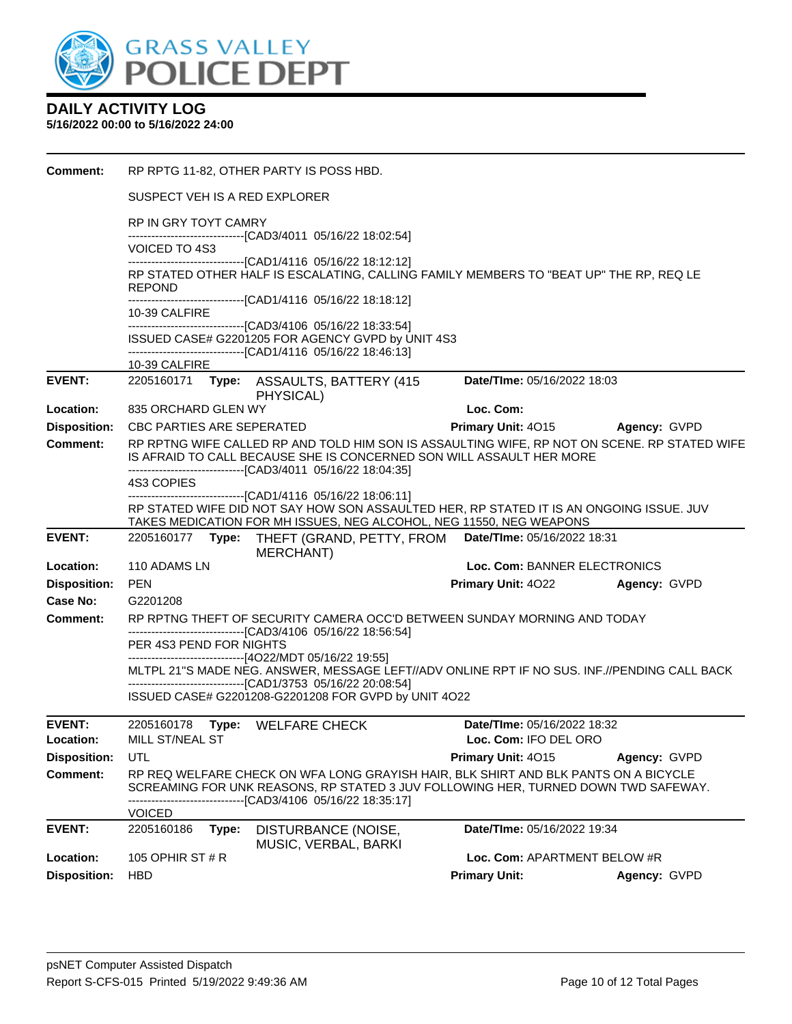

#### **DAILY ACTIVITY LOG 5/16/2022 00:00 to 5/16/2022 24:00**

| Comment:            |                                                                                                                                                           | RP RPTG 11-82, OTHER PARTY IS POSS HBD.                                                                                                                                                                                              |                              |              |  |  |  |  |
|---------------------|-----------------------------------------------------------------------------------------------------------------------------------------------------------|--------------------------------------------------------------------------------------------------------------------------------------------------------------------------------------------------------------------------------------|------------------------------|--------------|--|--|--|--|
|                     | SUSPECT VEH IS A RED EXPLORER                                                                                                                             |                                                                                                                                                                                                                                      |                              |              |  |  |  |  |
|                     | RP IN GRY TOYT CAMRY                                                                                                                                      | -------------------------------[CAD3/4011 05/16/22 18:02:54]                                                                                                                                                                         |                              |              |  |  |  |  |
|                     | VOICED TO 4S3                                                                                                                                             | -----------------------------------[CAD1/4116 05/16/22 18:12:12]                                                                                                                                                                     |                              |              |  |  |  |  |
|                     | <b>REPOND</b>                                                                                                                                             | RP STATED OTHER HALF IS ESCALATING, CALLING FAMILY MEMBERS TO "BEAT UP" THE RP, REQ LE<br>-------------------------------[CAD1/4116 05/16/22 18:18:12]                                                                               |                              |              |  |  |  |  |
|                     | 10-39 CALFIRE                                                                                                                                             | --------------------------------[CAD3/4106 05/16/22 18:33:54]                                                                                                                                                                        |                              |              |  |  |  |  |
|                     |                                                                                                                                                           | ISSUED CASE# G2201205 FOR AGENCY GVPD by UNIT 4S3<br>-------------------------------[CAD1/4116 05/16/22 18:46:13]                                                                                                                    |                              |              |  |  |  |  |
|                     | 10-39 CALFIRE                                                                                                                                             |                                                                                                                                                                                                                                      |                              |              |  |  |  |  |
| <b>EVENT:</b>       |                                                                                                                                                           | 2205160171 Type: ASSAULTS, BATTERY (415<br>PHYSICAL)                                                                                                                                                                                 | Date/TIme: 05/16/2022 18:03  |              |  |  |  |  |
| Location:           | 835 ORCHARD GLEN WY                                                                                                                                       |                                                                                                                                                                                                                                      | Loc. Com:                    |              |  |  |  |  |
| <b>Disposition:</b> | CBC PARTIES ARE SEPERATED                                                                                                                                 |                                                                                                                                                                                                                                      | Primary Unit: 4015           | Agency: GVPD |  |  |  |  |
| <b>Comment:</b>     |                                                                                                                                                           | RP RPTNG WIFE CALLED RP AND TOLD HIM SON IS ASSAULTING WIFE, RP NOT ON SCENE. RP STATED WIFE<br>IS AFRAID TO CALL BECAUSE SHE IS CONCERNED SON WILL ASSAULT HER MORE<br>-------------------------------[CAD3/4011 05/16/22 18:04:35] |                              |              |  |  |  |  |
|                     | 4S3 COPIES                                                                                                                                                |                                                                                                                                                                                                                                      |                              |              |  |  |  |  |
|                     |                                                                                                                                                           | --------------------------------[CAD1/4116 05/16/22 18:06:11]<br>RP STATED WIFE DID NOT SAY HOW SON ASSAULTED HER, RP STATED IT IS AN ONGOING ISSUE. JUV<br>TAKES MEDICATION FOR MH ISSUES, NEG ALCOHOL, NEG 11550, NEG WEAPONS      |                              |              |  |  |  |  |
| <b>EVENT:</b>       | 2205160177 Type:                                                                                                                                          | THEFT (GRAND, PETTY, FROM Date/Time: 05/16/2022 18:31<br>MERCHANT)                                                                                                                                                                   |                              |              |  |  |  |  |
| Location:           | 110 ADAMS LN                                                                                                                                              |                                                                                                                                                                                                                                      | Loc. Com: BANNER ELECTRONICS |              |  |  |  |  |
| <b>Disposition:</b> | <b>PEN</b>                                                                                                                                                |                                                                                                                                                                                                                                      | <b>Primary Unit: 4022</b>    | Agency: GVPD |  |  |  |  |
| Case No:            | G2201208                                                                                                                                                  |                                                                                                                                                                                                                                      |                              |              |  |  |  |  |
| <b>Comment:</b>     |                                                                                                                                                           | RP RPTNG THEFT OF SECURITY CAMERA OCC'D BETWEEN SUNDAY MORNING AND TODAY                                                                                                                                                             |                              |              |  |  |  |  |
|                     | --------------------------------[CAD3/4106 05/16/22 18:56:54]<br>PER 4S3 PEND FOR NIGHTS                                                                  |                                                                                                                                                                                                                                      |                              |              |  |  |  |  |
|                     | --------------------------------[4O22/MDT 05/16/22 19:55]<br>MLTPL 21"S MADE NEG. ANSWER, MESSAGE LEFT//ADV ONLINE RPT IF NO SUS. INF.//PENDING CALL BACK |                                                                                                                                                                                                                                      |                              |              |  |  |  |  |
|                     |                                                                                                                                                           | ----------------------------------[CAD1/3753 05/16/22 20:08:54]<br>ISSUED CASE# G2201208-G2201208 FOR GVPD by UNIT 4O22                                                                                                              |                              |              |  |  |  |  |
| EVENT:              |                                                                                                                                                           | 2205160178 Type: WELFARE CHECK                                                                                                                                                                                                       | Date/TIme: 05/16/2022 18:32  |              |  |  |  |  |
| Location:           | MILL ST/NEAL ST                                                                                                                                           |                                                                                                                                                                                                                                      | Loc. Com: IFO DEL ORO        |              |  |  |  |  |
| <b>Disposition:</b> | UTL                                                                                                                                                       |                                                                                                                                                                                                                                      | Primary Unit: 4015           | Agency: GVPD |  |  |  |  |
| <b>Comment:</b>     |                                                                                                                                                           | RP REQ WELFARE CHECK ON WFA LONG GRAYISH HAIR, BLK SHIRT AND BLK PANTS ON A BICYCLE<br>SCREAMING FOR UNK REASONS, RP STATED 3 JUV FOLLOWING HER, TURNED DOWN TWD SAFEWAY.<br>---------------------[CAD3/4106 05/16/22 18:35:17]      |                              |              |  |  |  |  |
|                     | <b>VOICED</b>                                                                                                                                             |                                                                                                                                                                                                                                      |                              |              |  |  |  |  |
| <b>EVENT:</b>       | 2205160186<br>Type:                                                                                                                                       | DISTURBANCE (NOISE,<br>MUSIC, VERBAL, BARKI                                                                                                                                                                                          | Date/TIme: 05/16/2022 19:34  |              |  |  |  |  |
| Location:           | 105 OPHIR ST $#R$                                                                                                                                         |                                                                                                                                                                                                                                      | Loc. Com: APARTMENT BELOW #R |              |  |  |  |  |
| <b>Disposition:</b> | <b>HBD</b>                                                                                                                                                |                                                                                                                                                                                                                                      | <b>Primary Unit:</b>         | Agency: GVPD |  |  |  |  |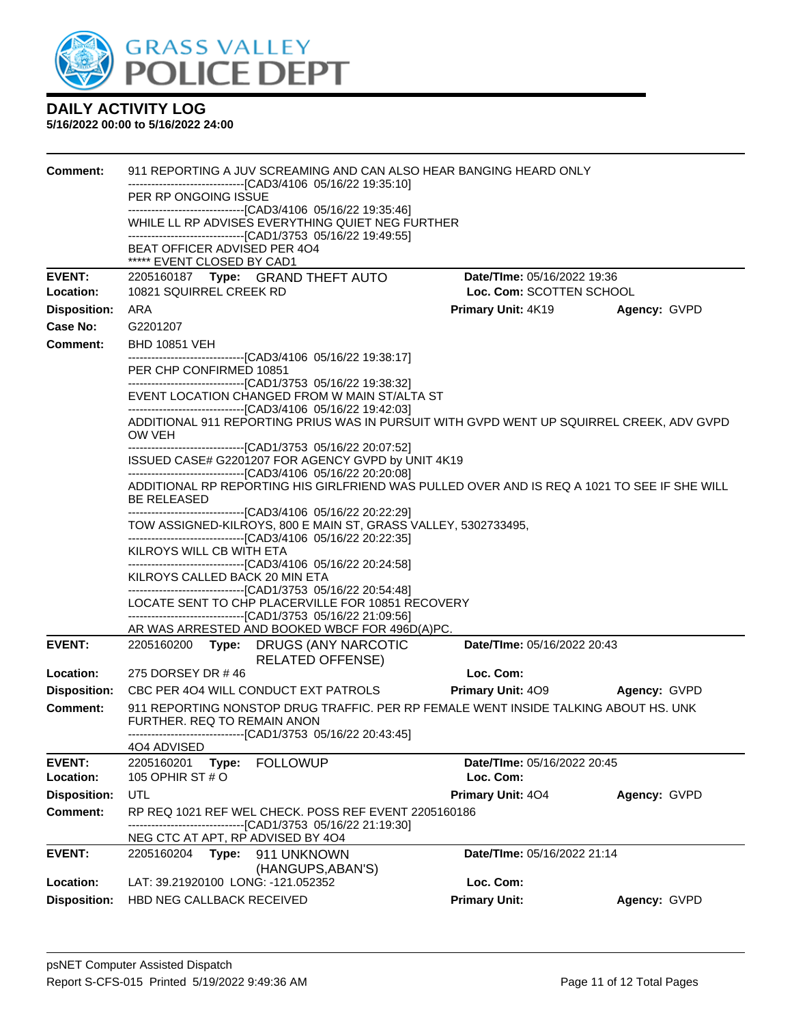

| <b>Comment:</b>                        | 911 REPORTING A JUV SCREAMING AND CAN ALSO HEAR BANGING HEARD ONLY                                                                                                                 |                             |              |  |  |  |
|----------------------------------------|------------------------------------------------------------------------------------------------------------------------------------------------------------------------------------|-----------------------------|--------------|--|--|--|
|                                        | ----------------------------------[CAD3/4106_05/16/22_19:35:10]<br>PER RP ONGOING ISSUE                                                                                            |                             |              |  |  |  |
|                                        | -------------------------------[CAD3/4106 05/16/22 19:35:46]                                                                                                                       |                             |              |  |  |  |
|                                        | WHILE LL RP ADVISES EVERYTHING QUIET NEG FURTHER                                                                                                                                   |                             |              |  |  |  |
|                                        | -------------------------------[CAD1/3753 05/16/22 19:49:55]<br>BEAT OFFICER ADVISED PER 4O4                                                                                       |                             |              |  |  |  |
|                                        | ***** EVENT CLOSED BY CAD1                                                                                                                                                         |                             |              |  |  |  |
| <b>EVENT:</b>                          | 2205160187 Type: GRAND THEFT AUTO                                                                                                                                                  | Date/TIme: 05/16/2022 19:36 |              |  |  |  |
| Location:                              | 10821 SQUIRREL CREEK RD                                                                                                                                                            | Loc. Com: SCOTTEN SCHOOL    |              |  |  |  |
| <b>Disposition:</b><br><b>Case No:</b> | ARA                                                                                                                                                                                | <b>Primary Unit: 4K19</b>   | Agency: GVPD |  |  |  |
| Comment:                               | G2201207<br><b>BHD 10851 VEH</b>                                                                                                                                                   |                             |              |  |  |  |
|                                        | -------------------------------[CAD3/4106 05/16/22 19:38:17]                                                                                                                       |                             |              |  |  |  |
|                                        | PER CHP CONFIRMED 10851                                                                                                                                                            |                             |              |  |  |  |
|                                        | -------------------------------[CAD1/3753 05/16/22 19:38:32]<br>EVENT LOCATION CHANGED FROM W MAIN ST/ALTA ST                                                                      |                             |              |  |  |  |
|                                        | -------------------------------[CAD3/4106 05/16/22 19:42:03]                                                                                                                       |                             |              |  |  |  |
|                                        | ADDITIONAL 911 REPORTING PRIUS WAS IN PURSUIT WITH GVPD WENT UP SQUIRREL CREEK, ADV GVPD<br>OW VEH                                                                                 |                             |              |  |  |  |
|                                        | -------------------------------[CAD1/3753 05/16/22 20:07:52]<br>ISSUED CASE# G2201207 FOR AGENCY GVPD by UNIT 4K19                                                                 |                             |              |  |  |  |
|                                        | -------------------------------[CAD3/4106 05/16/22 20:20:08]                                                                                                                       |                             |              |  |  |  |
|                                        | ADDITIONAL RP REPORTING HIS GIRLFRIEND WAS PULLED OVER AND IS REQ A 1021 TO SEE IF SHE WILL<br>BE RELEASED                                                                         |                             |              |  |  |  |
|                                        | -------------------------------[CAD3/4106 05/16/22 20:22:29]<br>TOW ASSIGNED-KILROYS, 800 E MAIN ST, GRASS VALLEY, 5302733495,                                                     |                             |              |  |  |  |
|                                        | -------------------------------[CAD3/4106 05/16/22 20:22:35]                                                                                                                       |                             |              |  |  |  |
|                                        | KILROYS WILL CB WITH ETA<br>-------------------------------[CAD3/4106 05/16/22 20:24:58]                                                                                           |                             |              |  |  |  |
|                                        | KILROYS CALLED BACK 20 MIN ETA                                                                                                                                                     |                             |              |  |  |  |
|                                        | -------------------------------[CAD1/3753 05/16/22 20:54:48]                                                                                                                       |                             |              |  |  |  |
|                                        | LOCATE SENT TO CHP PLACERVILLE FOR 10851 RECOVERY<br>-------------------------------[CAD1/3753_05/16/22_21:09:56]                                                                  |                             |              |  |  |  |
|                                        | AR WAS ARRESTED AND BOOKED WBCF FOR 496D(A)PC.                                                                                                                                     |                             |              |  |  |  |
| <b>EVENT:</b>                          | 2205160200 Type: DRUGS (ANY NARCOTIC<br><b>RELATED OFFENSE)</b>                                                                                                                    | Date/TIme: 05/16/2022 20:43 |              |  |  |  |
| Location:                              | 275 DORSEY DR #46                                                                                                                                                                  | Loc. Com:                   |              |  |  |  |
| <b>Disposition:</b>                    | CBC PER 4O4 WILL CONDUCT EXT PATROLS                                                                                                                                               | <b>Primary Unit: 409</b>    | Agency: GVPD |  |  |  |
| <b>Comment:</b>                        | 911 REPORTING NONSTOP DRUG TRAFFIC. PER RP FEMALE WENT INSIDE TALKING ABOUT HS. UNK<br>FURTHER, REQ TO REMAIN ANON<br>-------------------------------[CAD1/3753 05/16/22 20:43:45] |                             |              |  |  |  |
|                                        | 4O4 ADVISED                                                                                                                                                                        |                             |              |  |  |  |
| <b>EVENT:</b>                          | 2205160201<br><b>FOLLOWUP</b><br>Type:                                                                                                                                             | Date/TIme: 05/16/2022 20:45 |              |  |  |  |
| Location:                              | 105 OPHIR ST # O                                                                                                                                                                   | Loc. Com:                   |              |  |  |  |
| <b>Disposition:</b>                    | UTL                                                                                                                                                                                | Primary Unit: 404           | Agency: GVPD |  |  |  |
| <b>Comment:</b>                        | RP REQ 1021 REF WEL CHECK. POSS REF EVENT 2205160186<br>---[CAD1/3753 05/16/22 21:19:30]                                                                                           |                             |              |  |  |  |
|                                        | NEG CTC AT APT, RP ADVISED BY 4O4                                                                                                                                                  |                             |              |  |  |  |
| <b>EVENT:</b>                          | 2205160204<br>Type:<br>911 UNKNOWN                                                                                                                                                 | Date/TIme: 05/16/2022 21:14 |              |  |  |  |
|                                        | (HANGUPS, ABAN'S)                                                                                                                                                                  |                             |              |  |  |  |
| Location:                              | LAT: 39.21920100 LONG: -121.052352                                                                                                                                                 | Loc. Com:                   |              |  |  |  |
| <b>Disposition:</b>                    | HBD NEG CALLBACK RECEIVED                                                                                                                                                          | <b>Primary Unit:</b>        | Agency: GVPD |  |  |  |